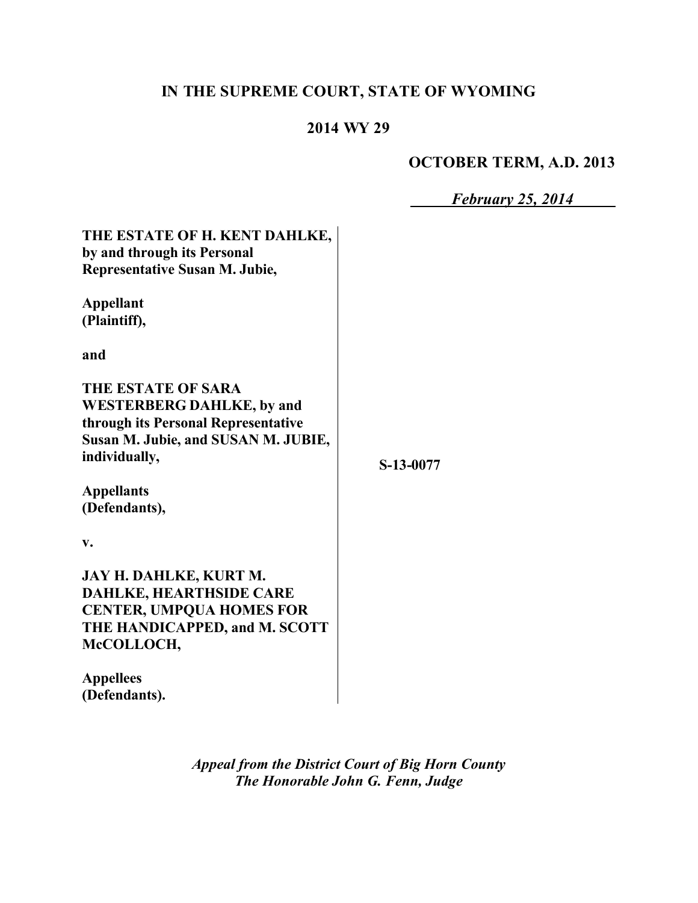# **IN THE SUPREME COURT, STATE OF WYOMING**

# **2014 WY 29**

## **OCTOBER TERM, A.D. 2013**

*February 25, 2014*

| THE ESTATE OF H. KENT DAHLKE,<br>by and through its Personal<br><b>Representative Susan M. Jubie,</b>                                                 |           |
|-------------------------------------------------------------------------------------------------------------------------------------------------------|-----------|
| <b>Appellant</b><br>(Plaintiff),                                                                                                                      |           |
| and                                                                                                                                                   |           |
| THE ESTATE OF SARA<br><b>WESTERBERG DAHLKE, by and</b><br>through its Personal Representative<br>Susan M. Jubie, and SUSAN M. JUBIE,<br>individually, | S-13-0077 |
| <b>Appellants</b><br>(Defendants),                                                                                                                    |           |
| v.                                                                                                                                                    |           |
| JAY H. DAHLKE, KURT M.<br><b>DAHLKE, HEARTHSIDE CARE</b><br><b>CENTER, UMPQUA HOMES FOR</b><br>THE HANDICAPPED, and M. SCOTT<br>McCOLLOCH,            |           |
| <b>Appellees</b><br>(Defendants).                                                                                                                     |           |

*Appeal from the District Court of Big Horn County The Honorable John G. Fenn, Judge*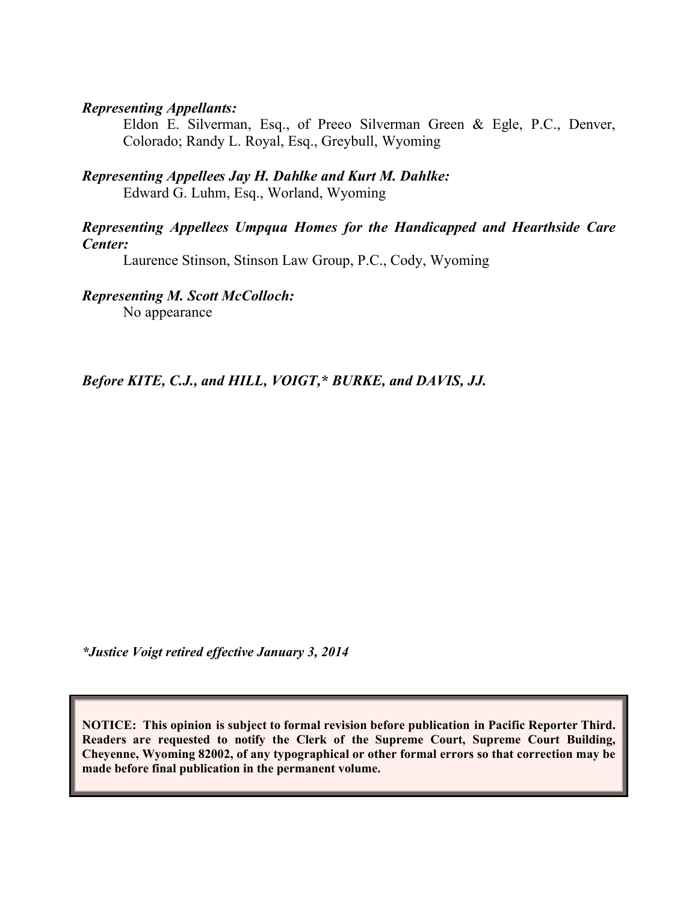#### *Representing Appellants:*

Eldon E. Silverman, Esq., of Preeo Silverman Green & Egle, P.C., Denver, Colorado; Randy L. Royal, Esq., Greybull, Wyoming

*Representing Appellees Jay H. Dahlke and Kurt M. Dahlke:* Edward G. Luhm, Esq., Worland, Wyoming

#### *Representing Appellees Umpqua Homes for the Handicapped and Hearthside Care Center:*

Laurence Stinson, Stinson Law Group, P.C., Cody, Wyoming

*Representing M. Scott McColloch:*

No appearance

*Before KITE, C.J., and HILL, VOIGT,\* BURKE, and DAVIS, JJ.*

*\*Justice Voigt retired effective January 3, 2014*

**NOTICE: This opinion is subject to formal revision before publication in Pacific Reporter Third. Readers are requested to notify the Clerk of the Supreme Court, Supreme Court Building, Cheyenne, Wyoming 82002, of any typographical or other formal errors so that correction may be made before final publication in the permanent volume.**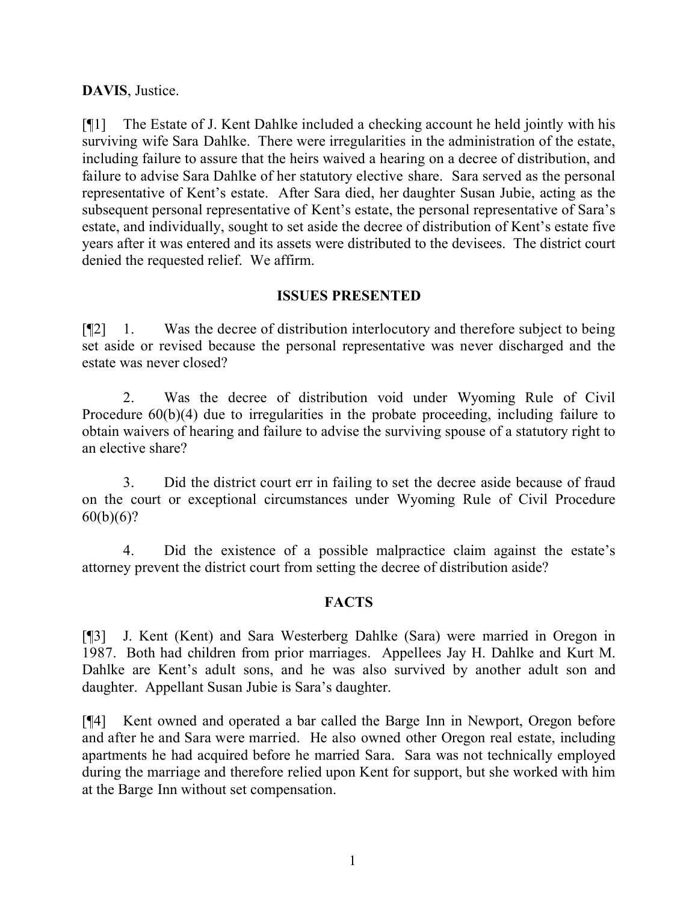#### **DAVIS**, Justice.

[¶1] The Estate of J. Kent Dahlke included a checking account he held jointly with his surviving wife Sara Dahlke. There were irregularities in the administration of the estate, including failure to assure that the heirs waived a hearing on a decree of distribution, and failure to advise Sara Dahlke of her statutory elective share. Sara served as the personal representative of Kent's estate. After Sara died, her daughter Susan Jubie, acting as the subsequent personal representative of Kent's estate, the personal representative of Sara's estate, and individually, sought to set aside the decree of distribution of Kent's estate five years after it was entered and its assets were distributed to the devisees. The district court denied the requested relief. We affirm.

## **ISSUES PRESENTED**

[¶2] 1. Was the decree of distribution interlocutory and therefore subject to being set aside or revised because the personal representative was never discharged and the estate was never closed?

2. Was the decree of distribution void under Wyoming Rule of Civil Procedure  $60(b)(4)$  due to irregularities in the probate proceeding, including failure to obtain waivers of hearing and failure to advise the surviving spouse of a statutory right to an elective share?

3. Did the district court err in failing to set the decree aside because of fraud on the court or exceptional circumstances under Wyoming Rule of Civil Procedure  $60(b)(6)?$ 

4. Did the existence of a possible malpractice claim against the estate's attorney prevent the district court from setting the decree of distribution aside?

#### **FACTS**

[¶3] J. Kent (Kent) and Sara Westerberg Dahlke (Sara) were married in Oregon in 1987. Both had children from prior marriages. Appellees Jay H. Dahlke and Kurt M. Dahlke are Kent's adult sons, and he was also survived by another adult son and daughter. Appellant Susan Jubie is Sara's daughter.

[¶4] Kent owned and operated a bar called the Barge Inn in Newport, Oregon before and after he and Sara were married. He also owned other Oregon real estate, including apartments he had acquired before he married Sara. Sara was not technically employed during the marriage and therefore relied upon Kent for support, but she worked with him at the Barge Inn without set compensation.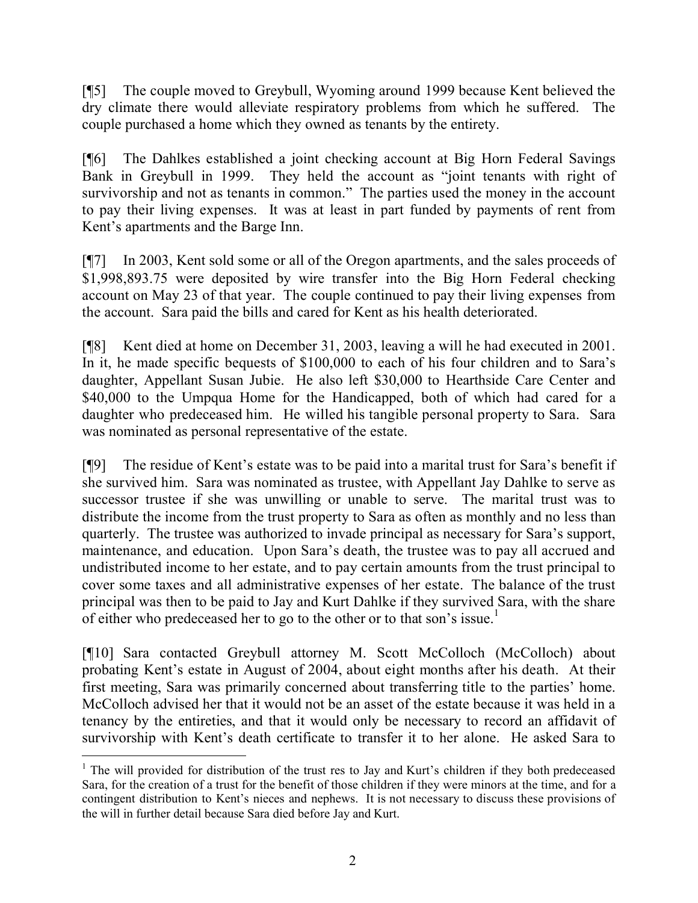[¶5] The couple moved to Greybull, Wyoming around 1999 because Kent believed the dry climate there would alleviate respiratory problems from which he suffered. The couple purchased a home which they owned as tenants by the entirety.

[¶6] The Dahlkes established a joint checking account at Big Horn Federal Savings Bank in Greybull in 1999. They held the account as "joint tenants with right of survivorship and not as tenants in common." The parties used the money in the account to pay their living expenses. It was at least in part funded by payments of rent from Kent's apartments and the Barge Inn.

[¶7] In 2003, Kent sold some or all of the Oregon apartments, and the sales proceeds of \$1,998,893.75 were deposited by wire transfer into the Big Horn Federal checking account on May 23 of that year. The couple continued to pay their living expenses from the account. Sara paid the bills and cared for Kent as his health deteriorated.

[¶8] Kent died at home on December 31, 2003, leaving a will he had executed in 2001. In it, he made specific bequests of \$100,000 to each of his four children and to Sara's daughter, Appellant Susan Jubie. He also left \$30,000 to Hearthside Care Center and \$40,000 to the Umpqua Home for the Handicapped, both of which had cared for a daughter who predeceased him. He willed his tangible personal property to Sara. Sara was nominated as personal representative of the estate.

[¶9] The residue of Kent's estate was to be paid into a marital trust for Sara's benefit if she survived him. Sara was nominated as trustee, with Appellant Jay Dahlke to serve as successor trustee if she was unwilling or unable to serve. The marital trust was to distribute the income from the trust property to Sara as often as monthly and no less than quarterly. The trustee was authorized to invade principal as necessary for Sara's support, maintenance, and education. Upon Sara's death, the trustee was to pay all accrued and undistributed income to her estate, and to pay certain amounts from the trust principal to cover some taxes and all administrative expenses of her estate. The balance of the trust principal was then to be paid to Jay and Kurt Dahlke if they survived Sara, with the share of either who predeceased her to go to the other or to that son's issue.<sup>1</sup>

[¶10] Sara contacted Greybull attorney M. Scott McColloch (McColloch) about probating Kent's estate in August of 2004, about eight months after his death. At their first meeting, Sara was primarily concerned about transferring title to the parties' home. McColloch advised her that it would not be an asset of the estate because it was held in a tenancy by the entireties, and that it would only be necessary to record an affidavit of survivorship with Kent's death certificate to transfer it to her alone. He asked Sara to

 $\overline{a}$ 

<sup>&</sup>lt;sup>1</sup> The will provided for distribution of the trust res to Jay and Kurt's children if they both predeceased Sara, for the creation of a trust for the benefit of those children if they were minors at the time, and for a contingent distribution to Kent's nieces and nephews. It is not necessary to discuss these provisions of the will in further detail because Sara died before Jay and Kurt.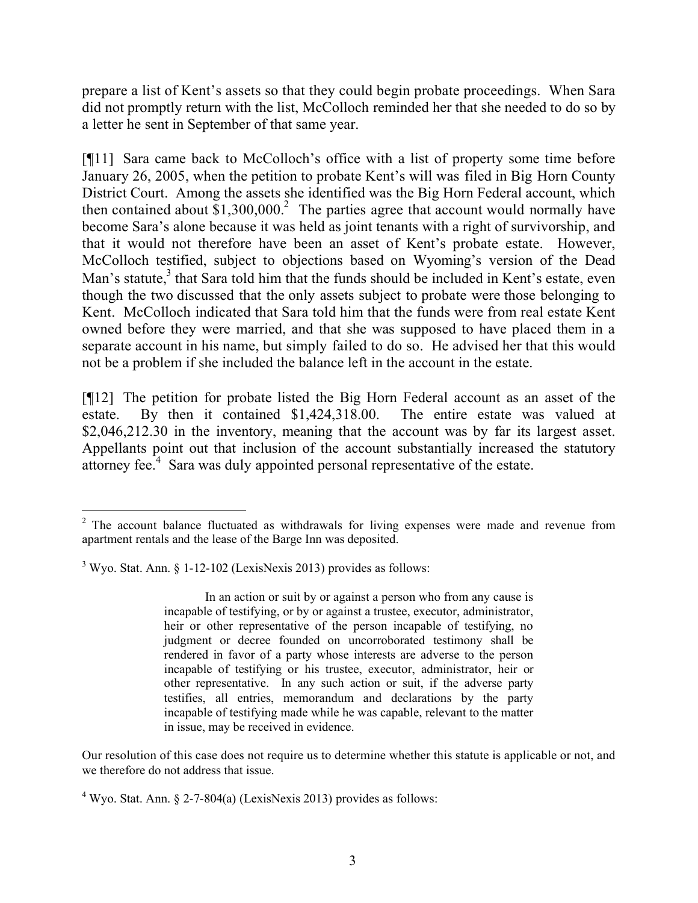prepare a list of Kent's assets so that they could begin probate proceedings. When Sara did not promptly return with the list, McColloch reminded her that she needed to do so by a letter he sent in September of that same year.

[¶11] Sara came back to McColloch's office with a list of property some time before January 26, 2005, when the petition to probate Kent's will was filed in Big Horn County District Court. Among the assets she identified was the Big Horn Federal account, which then contained about  $$1,300,000$ <sup>2</sup> The parties agree that account would normally have become Sara's alone because it was held as joint tenants with a right of survivorship, and that it would not therefore have been an asset of Kent's probate estate. However, McColloch testified, subject to objections based on Wyoming's version of the Dead Man's statute, $3$  that Sara told him that the funds should be included in Kent's estate, even though the two discussed that the only assets subject to probate were those belonging to Kent. McColloch indicated that Sara told him that the funds were from real estate Kent owned before they were married, and that she was supposed to have placed them in a separate account in his name, but simply failed to do so. He advised her that this would not be a problem if she included the balance left in the account in the estate.

[¶12] The petition for probate listed the Big Horn Federal account as an asset of the estate. By then it contained \$1,424,318.00. The entire estate was valued at \$2,046,212.30 in the inventory, meaning that the account was by far its largest asset. Appellants point out that inclusion of the account substantially increased the statutory attorney fee.<sup>4</sup> Sara was duly appointed personal representative of the estate.

In an action or suit by or against a person who from any cause is incapable of testifying, or by or against a trustee, executor, administrator, heir or other representative of the person incapable of testifying, no judgment or decree founded on uncorroborated testimony shall be rendered in favor of a party whose interests are adverse to the person incapable of testifying or his trustee, executor, administrator, heir or other representative. In any such action or suit, if the adverse party testifies, all entries, memorandum and declarations by the party incapable of testifying made while he was capable, relevant to the matter in issue, may be received in evidence.

Our resolution of this case does not require us to determine whether this statute is applicable or not, and we therefore do not address that issue.

 $2^2$  The account balance fluctuated as withdrawals for living expenses were made and revenue from apartment rentals and the lease of the Barge Inn was deposited.

 $3$  Wyo. Stat. Ann.  $\frac{1-12-102}{2}$  (LexisNexis 2013) provides as follows:

 $4$  Wyo. Stat. Ann. § 2-7-804(a) (LexisNexis 2013) provides as follows: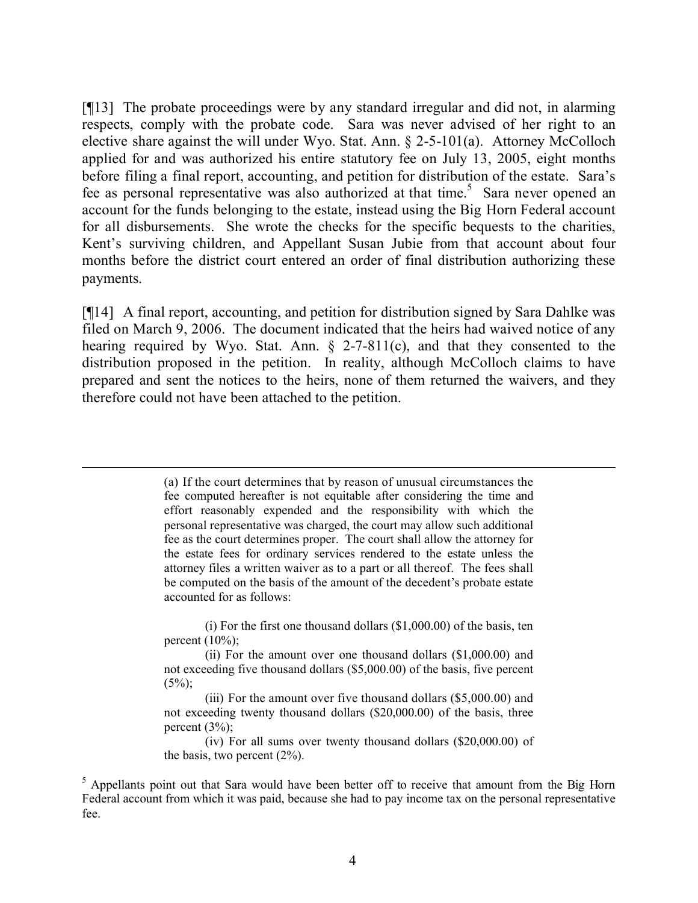[¶13] The probate proceedings were by any standard irregular and did not, in alarming respects, comply with the probate code. Sara was never advised of her right to an elective share against the will under Wyo. Stat. Ann. § 2-5-101(a). Attorney McColloch applied for and was authorized his entire statutory fee on July 13, 2005, eight months before filing a final report, accounting, and petition for distribution of the estate. Sara's fee as personal representative was also authorized at that time.<sup>5</sup> Sara never opened an account for the funds belonging to the estate, instead using the Big Horn Federal account for all disbursements. She wrote the checks for the specific bequests to the charities, Kent's surviving children, and Appellant Susan Jubie from that account about four months before the district court entered an order of final distribution authorizing these payments.

[¶14] A final report, accounting, and petition for distribution signed by Sara Dahlke was filed on March 9, 2006. The document indicated that the heirs had waived notice of any hearing required by Wyo. Stat. Ann.  $\S$  2-7-811(c), and that they consented to the distribution proposed in the petition. In reality, although McColloch claims to have prepared and sent the notices to the heirs, none of them returned the waivers, and they therefore could not have been attached to the petition.

> (a) If the court determines that by reason of unusual circumstances the fee computed hereafter is not equitable after considering the time and effort reasonably expended and the responsibility with which the personal representative was charged, the court may allow such additional fee as the court determines proper. The court shall allow the attorney for the estate fees for ordinary services rendered to the estate unless the attorney files a written waiver as to a part or all thereof. The fees shall be computed on the basis of the amount of the decedent's probate estate accounted for as follows:

(i) For the first one thousand dollars (\$1,000.00) of the basis, ten percent  $(10\%)$ ;

(ii) For the amount over one thousand dollars (\$1,000.00) and not exceeding five thousand dollars (\$5,000.00) of the basis, five percent  $(5\%)$ ;

(iii) For the amount over five thousand dollars (\$5,000.00) and not exceeding twenty thousand dollars (\$20,000.00) of the basis, three percent  $(3\%)$ ;

(iv) For all sums over twenty thousand dollars (\$20,000.00) of the basis, two percent (2%).

<sup>5</sup> Appellants point out that Sara would have been better off to receive that amount from the Big Horn Federal account from which it was paid, because she had to pay income tax on the personal representative fee.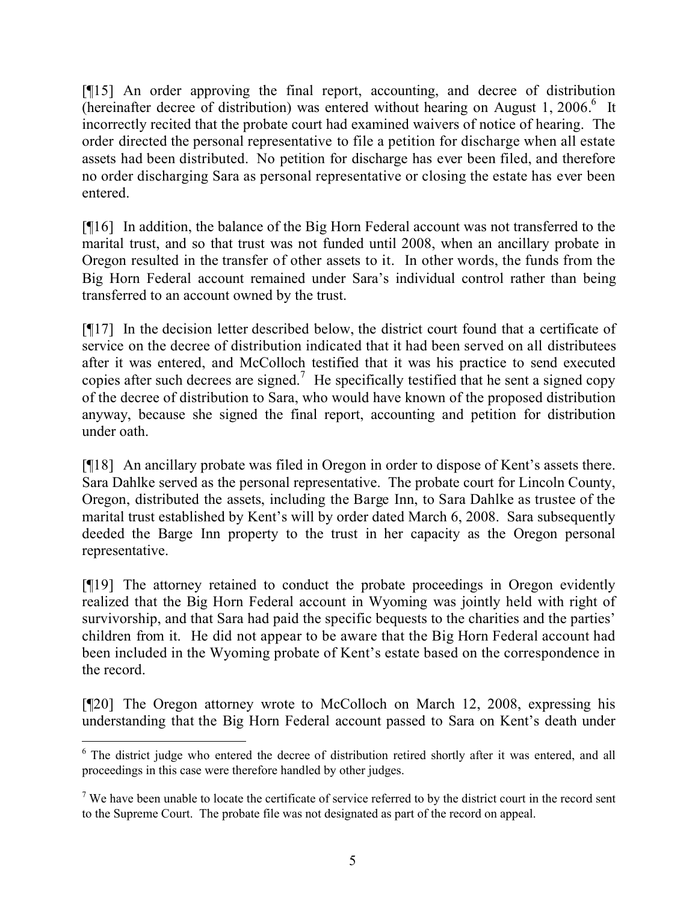[¶15] An order approving the final report, accounting, and decree of distribution (hereinafter decree of distribution) was entered without hearing on August 1, 2006.<sup>6</sup> It incorrectly recited that the probate court had examined waivers of notice of hearing. The order directed the personal representative to file a petition for discharge when all estate assets had been distributed. No petition for discharge has ever been filed, and therefore no order discharging Sara as personal representative or closing the estate has ever been entered.

[¶16] In addition, the balance of the Big Horn Federal account was not transferred to the marital trust, and so that trust was not funded until 2008, when an ancillary probate in Oregon resulted in the transfer of other assets to it. In other words, the funds from the Big Horn Federal account remained under Sara's individual control rather than being transferred to an account owned by the trust.

[¶17] In the decision letter described below, the district court found that a certificate of service on the decree of distribution indicated that it had been served on all distributees after it was entered, and McColloch testified that it was his practice to send executed copies after such decrees are signed.<sup>7</sup> He specifically testified that he sent a signed copy of the decree of distribution to Sara, who would have known of the proposed distribution anyway, because she signed the final report, accounting and petition for distribution under oath.

[¶18] An ancillary probate was filed in Oregon in order to dispose of Kent's assets there. Sara Dahlke served as the personal representative. The probate court for Lincoln County, Oregon, distributed the assets, including the Barge Inn, to Sara Dahlke as trustee of the marital trust established by Kent's will by order dated March 6, 2008. Sara subsequently deeded the Barge Inn property to the trust in her capacity as the Oregon personal representative.

[¶19] The attorney retained to conduct the probate proceedings in Oregon evidently realized that the Big Horn Federal account in Wyoming was jointly held with right of survivorship, and that Sara had paid the specific bequests to the charities and the parties' children from it. He did not appear to be aware that the Big Horn Federal account had been included in the Wyoming probate of Kent's estate based on the correspondence in the record.

[¶20] The Oregon attorney wrote to McColloch on March 12, 2008, expressing his understanding that the Big Horn Federal account passed to Sara on Kent's death under

 <sup>6</sup> The district judge who entered the decree of distribution retired shortly after it was entered, and all proceedings in this case were therefore handled by other judges.

 $<sup>7</sup>$  We have been unable to locate the certificate of service referred to by the district court in the record sent</sup> to the Supreme Court. The probate file was not designated as part of the record on appeal.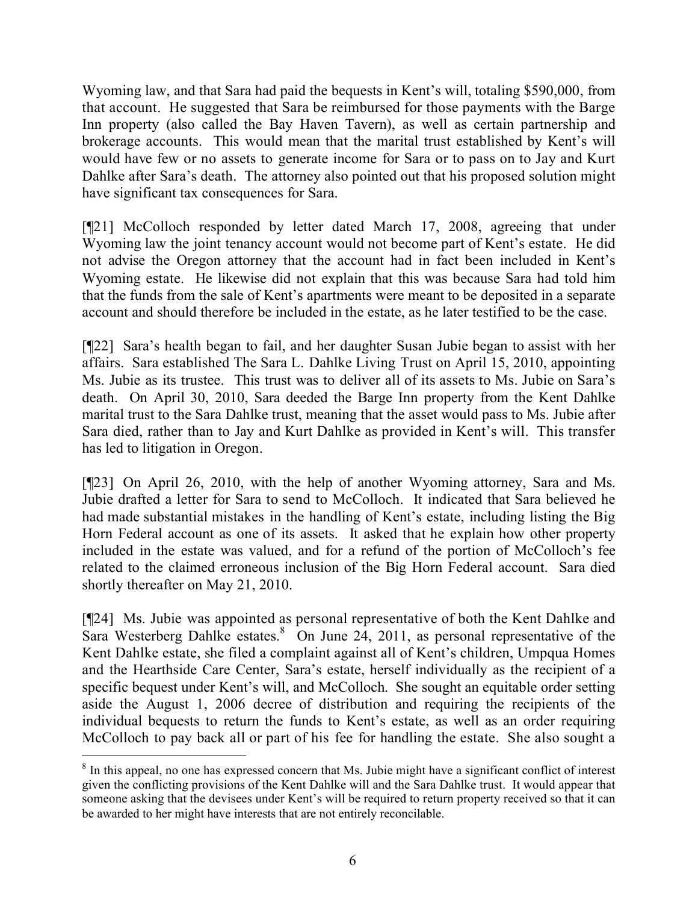Wyoming law, and that Sara had paid the bequests in Kent's will, totaling \$590,000, from that account. He suggested that Sara be reimbursed for those payments with the Barge Inn property (also called the Bay Haven Tavern), as well as certain partnership and brokerage accounts. This would mean that the marital trust established by Kent's will would have few or no assets to generate income for Sara or to pass on to Jay and Kurt Dahlke after Sara's death. The attorney also pointed out that his proposed solution might have significant tax consequences for Sara.

[¶21] McColloch responded by letter dated March 17, 2008, agreeing that under Wyoming law the joint tenancy account would not become part of Kent's estate. He did not advise the Oregon attorney that the account had in fact been included in Kent's Wyoming estate. He likewise did not explain that this was because Sara had told him that the funds from the sale of Kent's apartments were meant to be deposited in a separate account and should therefore be included in the estate, as he later testified to be the case.

[¶22] Sara's health began to fail, and her daughter Susan Jubie began to assist with her affairs. Sara established The Sara L. Dahlke Living Trust on April 15, 2010, appointing Ms. Jubie as its trustee. This trust was to deliver all of its assets to Ms. Jubie on Sara's death. On April 30, 2010, Sara deeded the Barge Inn property from the Kent Dahlke marital trust to the Sara Dahlke trust, meaning that the asset would pass to Ms. Jubie after Sara died, rather than to Jay and Kurt Dahlke as provided in Kent's will. This transfer has led to litigation in Oregon.

[¶23] On April 26, 2010, with the help of another Wyoming attorney, Sara and Ms. Jubie drafted a letter for Sara to send to McColloch. It indicated that Sara believed he had made substantial mistakes in the handling of Kent's estate, including listing the Big Horn Federal account as one of its assets. It asked that he explain how other property included in the estate was valued, and for a refund of the portion of McColloch's fee related to the claimed erroneous inclusion of the Big Horn Federal account. Sara died shortly thereafter on May 21, 2010.

[¶24] Ms. Jubie was appointed as personal representative of both the Kent Dahlke and Sara Westerberg Dahlke estates.  $\delta$  On June 24, 2011, as personal representative of the Kent Dahlke estate, she filed a complaint against all of Kent's children, Umpqua Homes and the Hearthside Care Center, Sara's estate, herself individually as the recipient of a specific bequest under Kent's will, and McColloch. She sought an equitable order setting aside the August 1, 2006 decree of distribution and requiring the recipients of the individual bequests to return the funds to Kent's estate, as well as an order requiring McColloch to pay back all or part of his fee for handling the estate. She also sought a

 $\overline{a}$ 

<sup>&</sup>lt;sup>8</sup> In this appeal, no one has expressed concern that Ms. Jubie might have a significant conflict of interest given the conflicting provisions of the Kent Dahlke will and the Sara Dahlke trust. It would appear that someone asking that the devisees under Kent's will be required to return property received so that it can be awarded to her might have interests that are not entirely reconcilable.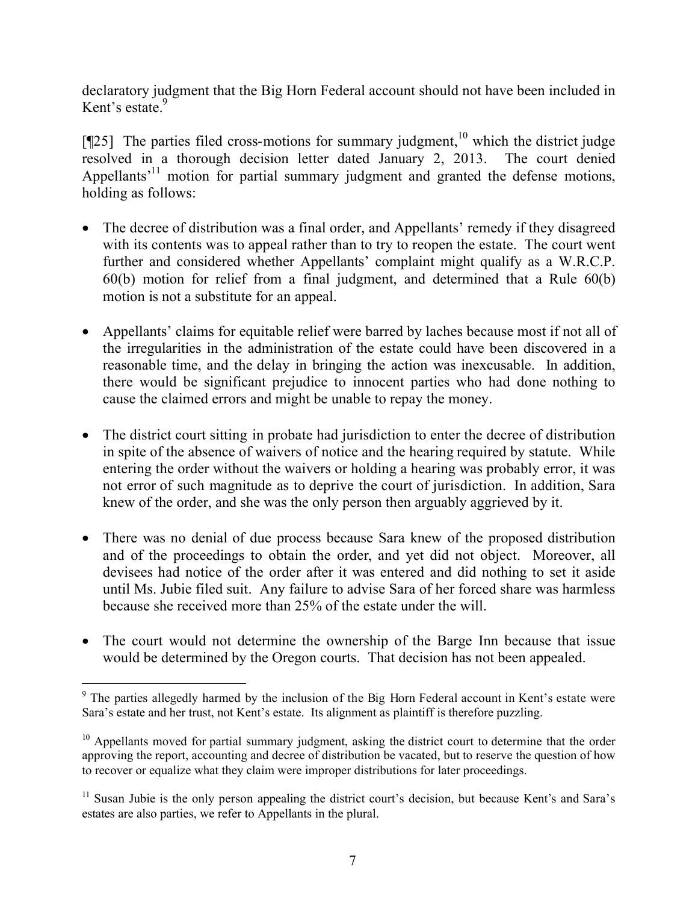declaratory judgment that the Big Horn Federal account should not have been included in Kent's estate. $9$ 

[ $[$ [25] The parties filed cross-motions for summary judgment,<sup>10</sup> which the district judge resolved in a thorough decision letter dated January 2, 2013. The court denied Appellants<sup>'11</sup> motion for partial summary judgment and granted the defense motions, holding as follows:

- The decree of distribution was a final order, and Appellants' remedy if they disagreed with its contents was to appeal rather than to try to reopen the estate. The court went further and considered whether Appellants' complaint might qualify as a W.R.C.P. 60(b) motion for relief from a final judgment, and determined that a Rule 60(b) motion is not a substitute for an appeal.
- Appellants' claims for equitable relief were barred by laches because most if not all of the irregularities in the administration of the estate could have been discovered in a reasonable time, and the delay in bringing the action was inexcusable. In addition, there would be significant prejudice to innocent parties who had done nothing to cause the claimed errors and might be unable to repay the money.
- The district court sitting in probate had jurisdiction to enter the decree of distribution in spite of the absence of waivers of notice and the hearing required by statute. While entering the order without the waivers or holding a hearing was probably error, it was not error of such magnitude as to deprive the court of jurisdiction. In addition, Sara knew of the order, and she was the only person then arguably aggrieved by it.
- There was no denial of due process because Sara knew of the proposed distribution and of the proceedings to obtain the order, and yet did not object. Moreover, all devisees had notice of the order after it was entered and did nothing to set it aside until Ms. Jubie filed suit. Any failure to advise Sara of her forced share was harmless because she received more than 25% of the estate under the will.
- The court would not determine the ownership of the Barge Inn because that issue would be determined by the Oregon courts. That decision has not been appealed.

 $\overline{a}$ 

<sup>&</sup>lt;sup>9</sup> The parties allegedly harmed by the inclusion of the Big Horn Federal account in Kent's estate were Sara's estate and her trust, not Kent's estate. Its alignment as plaintiff is therefore puzzling.

<sup>&</sup>lt;sup>10</sup> Appellants moved for partial summary judgment, asking the district court to determine that the order approving the report, accounting and decree of distribution be vacated, but to reserve the question of how to recover or equalize what they claim were improper distributions for later proceedings.

 $11$  Susan Jubie is the only person appealing the district court's decision, but because Kent's and Sara's estates are also parties, we refer to Appellants in the plural.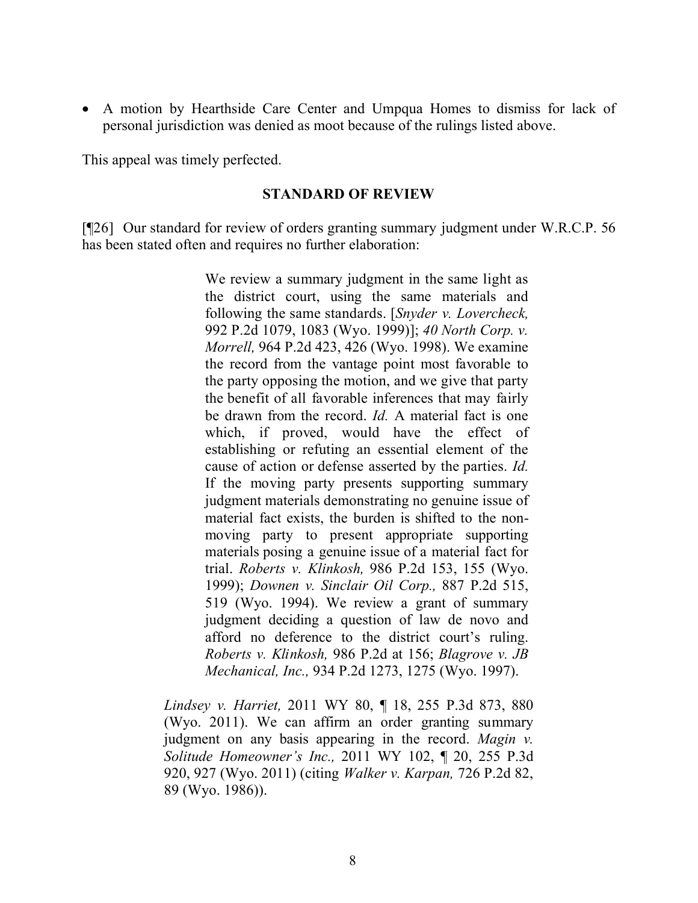A motion by Hearthside Care Center and Umpqua Homes to dismiss for lack of personal jurisdiction was denied as moot because of the rulings listed above.

This appeal was timely perfected.

#### **STANDARD OF REVIEW**

[¶26] Our standard for review of orders granting summary judgment under W.R.C.P. 56 has been stated often and requires no further elaboration:

> We review a summary judgment in the same light as the district court, using the same materials and following the same standards. [*Snyder v. Lovercheck,* 992 P.2d 1079, 1083 (Wyo. 1999)]; *40 North Corp. v. Morrell,* 964 P.2d 423, 426 (Wyo. 1998). We examine the record from the vantage point most favorable to the party opposing the motion, and we give that party the benefit of all favorable inferences that may fairly be drawn from the record. *Id.* A material fact is one which, if proved, would have the effect of establishing or refuting an essential element of the cause of action or defense asserted by the parties. *Id.* If the moving party presents supporting summary judgment materials demonstrating no genuine issue of material fact exists, the burden is shifted to the nonmoving party to present appropriate supporting materials posing a genuine issue of a material fact for trial. *Roberts v. Klinkosh,* 986 P.2d 153, 155 (Wyo. 1999); *Downen v. Sinclair Oil Corp.,* 887 P.2d 515, 519 (Wyo. 1994). We review a grant of summary judgment deciding a question of law de novo and afford no deference to the district court's ruling. *Roberts v. Klinkosh,* 986 P.2d at 156; *Blagrove v. JB Mechanical, Inc.,* 934 P.2d 1273, 1275 (Wyo. 1997).

*Lindsey v. Harriet,* 2011 WY 80, ¶ 18, 255 P.3d 873, 880 (Wyo. 2011). We can affirm an order granting summary judgment on any basis appearing in the record. *Magin v. Solitude Homeowner's Inc.,* 2011 WY 102, ¶ 20, 255 P.3d 920, 927 (Wyo. 2011) (citing *Walker v. Karpan,* 726 P.2d 82, 89 (Wyo. 1986)).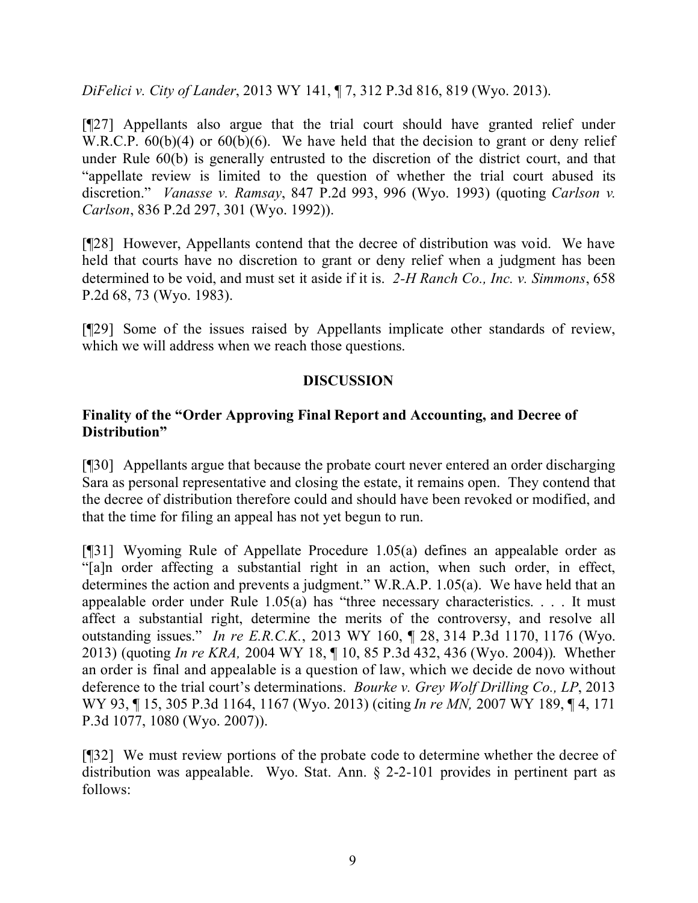*DiFelici v. City of Lander*, 2013 WY 141, ¶ 7, 312 P.3d 816, 819 (Wyo. 2013).

[¶27] Appellants also argue that the trial court should have granted relief under W.R.C.P. 60(b)(4) or 60(b)(6). We have held that the decision to grant or deny relief under Rule 60(b) is generally entrusted to the discretion of the district court, and that "appellate review is limited to the question of whether the trial court abused its discretion." *Vanasse v. Ramsay*, 847 P.2d 993, 996 (Wyo. 1993) (quoting *Carlson v. Carlson*, 836 P.2d 297, 301 (Wyo. 1992)).

[¶28] However, Appellants contend that the decree of distribution was void. We have held that courts have no discretion to grant or deny relief when a judgment has been determined to be void, and must set it aside if it is. *2-H Ranch Co., Inc. v. Simmons*, 658 P.2d 68, 73 (Wyo. 1983).

[¶29] Some of the issues raised by Appellants implicate other standards of review, which we will address when we reach those questions.

## **DISCUSSION**

#### **Finality of the "Order Approving Final Report and Accounting, and Decree of Distribution"**

[¶30] Appellants argue that because the probate court never entered an order discharging Sara as personal representative and closing the estate, it remains open. They contend that the decree of distribution therefore could and should have been revoked or modified, and that the time for filing an appeal has not yet begun to run.

[¶31] Wyoming Rule of Appellate Procedure 1.05(a) defines an appealable order as "[a]n order affecting a substantial right in an action, when such order, in effect, determines the action and prevents a judgment." W.R.A.P. 1.05(a). We have held that an appealable order under Rule 1.05(a) has "three necessary characteristics. . . . It must affect a substantial right, determine the merits of the controversy, and resolve all outstanding issues." *In re E.R.C.K.*, 2013 WY 160, ¶ 28, 314 P.3d 1170, 1176 (Wyo. 2013) (quoting *In re KRA,* 2004 WY 18, ¶ 10, 85 P.3d 432, 436 (Wyo. 2004)). Whether an order is final and appealable is a question of law, which we decide de novo without deference to the trial court's determinations. *Bourke v. Grey Wolf Drilling Co., LP*, 2013 WY 93, ¶ 15, 305 P.3d 1164, 1167 (Wyo. 2013) (citing *In re MN,* 2007 WY 189, ¶ 4, 171 P.3d 1077, 1080 (Wyo. 2007)).

[¶32] We must review portions of the probate code to determine whether the decree of distribution was appealable. Wyo. Stat. Ann. § 2-2-101 provides in pertinent part as follows: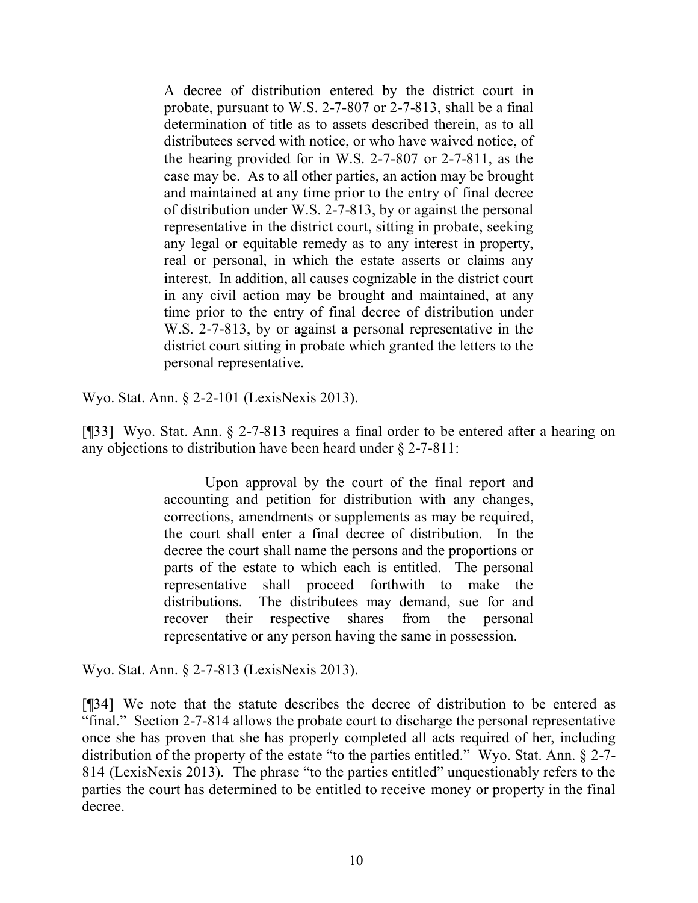A decree of distribution entered by the district court in probate, pursuant to W.S. 2-7-807 or 2-7-813, shall be a final determination of title as to assets described therein, as to all distributees served with notice, or who have waived notice, of the hearing provided for in W.S. 2-7-807 or 2-7-811, as the case may be. As to all other parties, an action may be brought and maintained at any time prior to the entry of final decree of distribution under W.S. 2-7-813, by or against the personal representative in the district court, sitting in probate, seeking any legal or equitable remedy as to any interest in property, real or personal, in which the estate asserts or claims any interest. In addition, all causes cognizable in the district court in any civil action may be brought and maintained, at any time prior to the entry of final decree of distribution under W.S. 2-7-813, by or against a personal representative in the district court sitting in probate which granted the letters to the personal representative.

Wyo. Stat. Ann. § 2-2-101 (LexisNexis 2013).

[¶33] Wyo. Stat. Ann. § 2-7-813 requires a final order to be entered after a hearing on any objections to distribution have been heard under § 2-7-811:

> Upon approval by the court of the final report and accounting and petition for distribution with any changes, corrections, amendments or supplements as may be required, the court shall enter a final decree of distribution. In the decree the court shall name the persons and the proportions or parts of the estate to which each is entitled. The personal representative shall proceed forthwith to make the distributions. The distributees may demand, sue for and recover their respective shares from the personal representative or any person having the same in possession.

Wyo. Stat. Ann. § 2-7-813 (LexisNexis 2013).

[¶34] We note that the statute describes the decree of distribution to be entered as "final." Section 2-7-814 allows the probate court to discharge the personal representative once she has proven that she has properly completed all acts required of her, including distribution of the property of the estate "to the parties entitled." Wyo. Stat. Ann. § 2-7- 814 (LexisNexis 2013). The phrase "to the parties entitled" unquestionably refers to the parties the court has determined to be entitled to receive money or property in the final decree.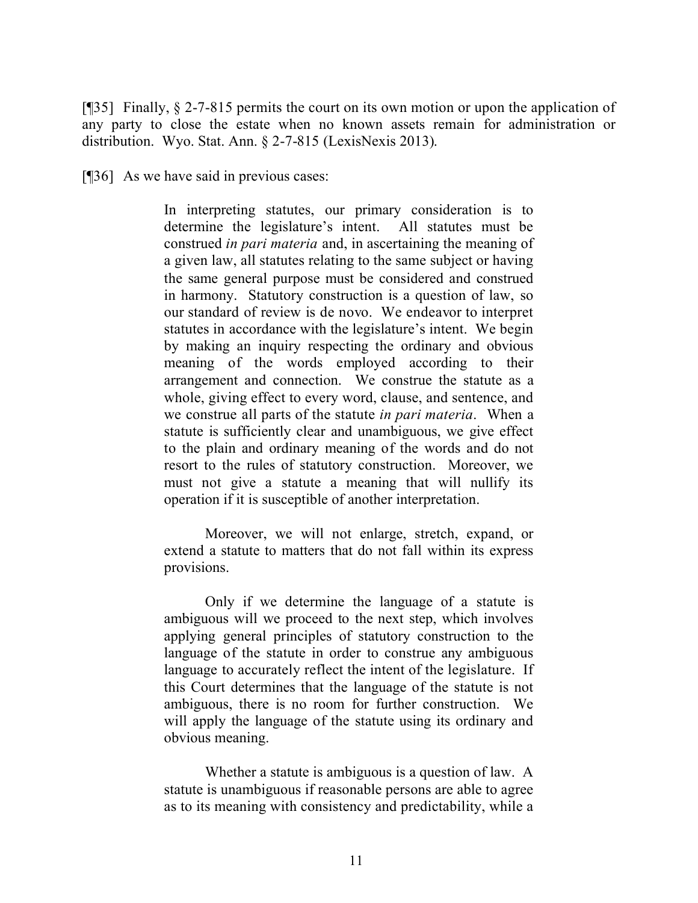[ $[$ ][35] Finally,  $\S$  2-7-815 permits the court on its own motion or upon the application of any party to close the estate when no known assets remain for administration or distribution. Wyo. Stat. Ann. § 2-7-815 (LexisNexis 2013).

[¶36] As we have said in previous cases:

In interpreting statutes, our primary consideration is to determine the legislature's intent. All statutes must be construed *in pari materia* and, in ascertaining the meaning of a given law, all statutes relating to the same subject or having the same general purpose must be considered and construed in harmony. Statutory construction is a question of law, so our standard of review is de novo. We endeavor to interpret statutes in accordance with the legislature's intent. We begin by making an inquiry respecting the ordinary and obvious meaning of the words employed according to their arrangement and connection. We construe the statute as a whole, giving effect to every word, clause, and sentence, and we construe all parts of the statute *in pari materia*. When a statute is sufficiently clear and unambiguous, we give effect to the plain and ordinary meaning of the words and do not resort to the rules of statutory construction. Moreover, we must not give a statute a meaning that will nullify its operation if it is susceptible of another interpretation.

Moreover, we will not enlarge, stretch, expand, or extend a statute to matters that do not fall within its express provisions.

Only if we determine the language of a statute is ambiguous will we proceed to the next step, which involves applying general principles of statutory construction to the language of the statute in order to construe any ambiguous language to accurately reflect the intent of the legislature. If this Court determines that the language of the statute is not ambiguous, there is no room for further construction. We will apply the language of the statute using its ordinary and obvious meaning.

Whether a statute is ambiguous is a question of law. A statute is unambiguous if reasonable persons are able to agree as to its meaning with consistency and predictability, while a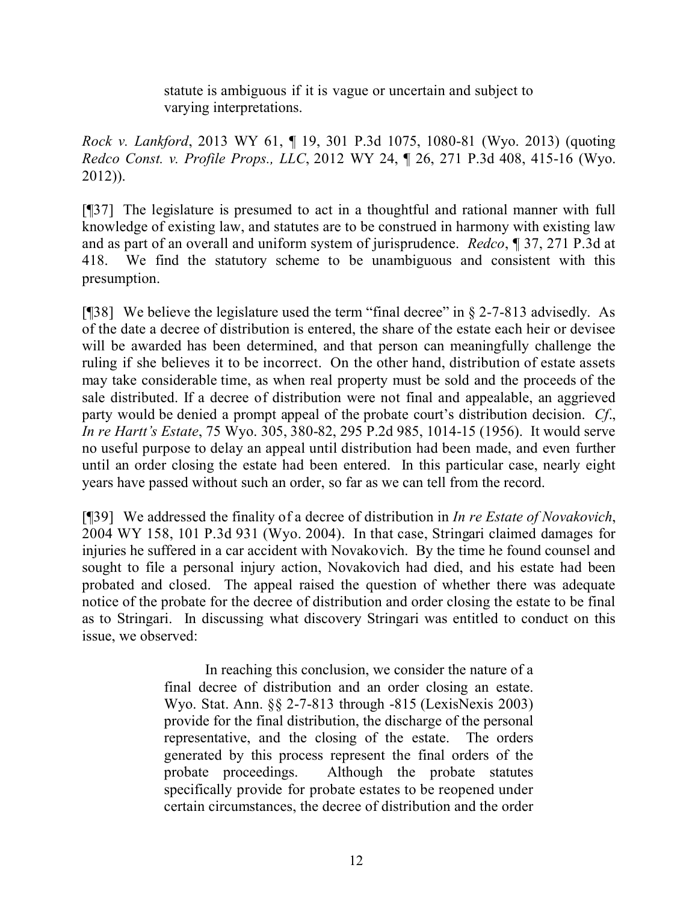statute is ambiguous if it is vague or uncertain and subject to varying interpretations.

*Rock v. Lankford*, 2013 WY 61, ¶ 19, 301 P.3d 1075, 1080-81 (Wyo. 2013) (quoting *Redco Const. v. Profile Props., LLC*, 2012 WY 24, ¶ 26, 271 P.3d 408, 415-16 (Wyo. 2012)).

[¶37] The legislature is presumed to act in a thoughtful and rational manner with full knowledge of existing law, and statutes are to be construed in harmony with existing law and as part of an overall and uniform system of jurisprudence. *Redco*, ¶ 37, 271 P.3d at 418. We find the statutory scheme to be unambiguous and consistent with this presumption.

[¶38] We believe the legislature used the term "final decree" in § 2-7-813 advisedly. As of the date a decree of distribution is entered, the share of the estate each heir or devisee will be awarded has been determined, and that person can meaningfully challenge the ruling if she believes it to be incorrect. On the other hand, distribution of estate assets may take considerable time, as when real property must be sold and the proceeds of the sale distributed. If a decree of distribution were not final and appealable, an aggrieved party would be denied a prompt appeal of the probate court's distribution decision. *Cf*., *In re Hartt's Estate*, 75 Wyo. 305, 380-82, 295 P.2d 985, 1014-15 (1956). It would serve no useful purpose to delay an appeal until distribution had been made, and even further until an order closing the estate had been entered. In this particular case, nearly eight years have passed without such an order, so far as we can tell from the record.

[¶39] We addressed the finality of a decree of distribution in *In re Estate of Novakovich*, 2004 WY 158, 101 P.3d 931 (Wyo. 2004). In that case, Stringari claimed damages for injuries he suffered in a car accident with Novakovich. By the time he found counsel and sought to file a personal injury action, Novakovich had died, and his estate had been probated and closed. The appeal raised the question of whether there was adequate notice of the probate for the decree of distribution and order closing the estate to be final as to Stringari. In discussing what discovery Stringari was entitled to conduct on this issue, we observed:

> In reaching this conclusion, we consider the nature of a final decree of distribution and an order closing an estate. Wyo. Stat. Ann. §§ 2-7-813 through -815 (LexisNexis 2003) provide for the final distribution, the discharge of the personal representative, and the closing of the estate. The orders generated by this process represent the final orders of the probate proceedings. Although the probate statutes specifically provide for probate estates to be reopened under certain circumstances, the decree of distribution and the order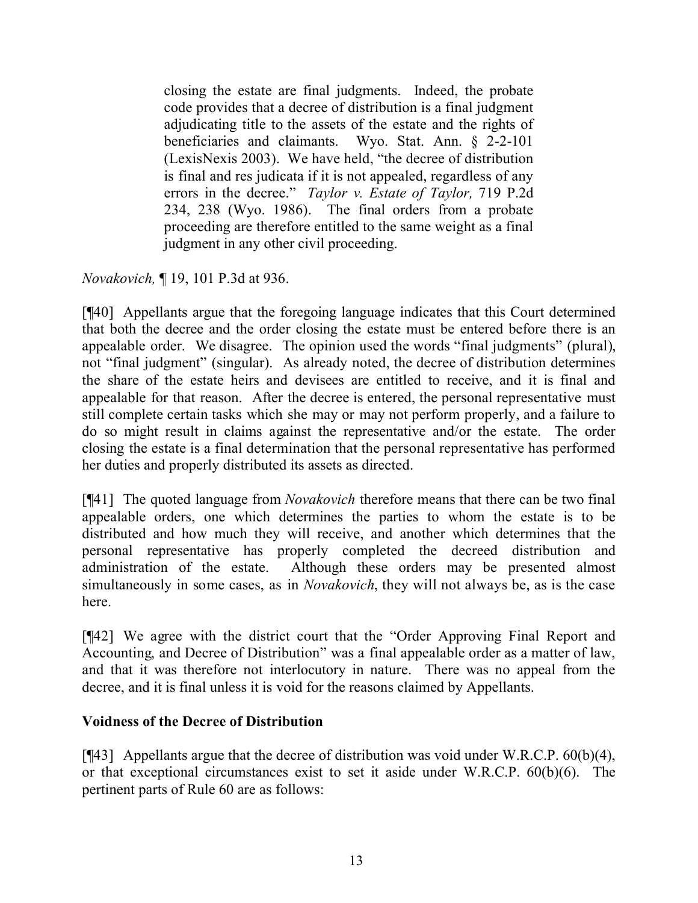closing the estate are final judgments. Indeed, the probate code provides that a decree of distribution is a final judgment adjudicating title to the assets of the estate and the rights of beneficiaries and claimants. Wyo. Stat. Ann. § 2-2-101 (LexisNexis 2003). We have held, "the decree of distribution is final and res judicata if it is not appealed, regardless of any errors in the decree." *Taylor v. Estate of Taylor,* 719 P.2d 234, 238 (Wyo. 1986). The final orders from a probate proceeding are therefore entitled to the same weight as a final judgment in any other civil proceeding.

*Novakovich,* ¶ 19, 101 P.3d at 936.

[¶40] Appellants argue that the foregoing language indicates that this Court determined that both the decree and the order closing the estate must be entered before there is an appealable order. We disagree. The opinion used the words "final judgments" (plural), not "final judgment" (singular). As already noted, the decree of distribution determines the share of the estate heirs and devisees are entitled to receive, and it is final and appealable for that reason. After the decree is entered, the personal representative must still complete certain tasks which she may or may not perform properly, and a failure to do so might result in claims against the representative and/or the estate. The order closing the estate is a final determination that the personal representative has performed her duties and properly distributed its assets as directed.

[¶41] The quoted language from *Novakovich* therefore means that there can be two final appealable orders, one which determines the parties to whom the estate is to be distributed and how much they will receive, and another which determines that the personal representative has properly completed the decreed distribution and administration of the estate. Although these orders may be presented almost simultaneously in some cases, as in *Novakovich*, they will not always be, as is the case here.

[¶42] We agree with the district court that the "Order Approving Final Report and Accounting, and Decree of Distribution" was a final appealable order as a matter of law, and that it was therefore not interlocutory in nature. There was no appeal from the decree, and it is final unless it is void for the reasons claimed by Appellants.

#### **Voidness of the Decree of Distribution**

[ $[43]$ ] Appellants argue that the decree of distribution was void under W.R.C.P. 60(b)(4), or that exceptional circumstances exist to set it aside under W.R.C.P. 60(b)(6). The pertinent parts of Rule 60 are as follows: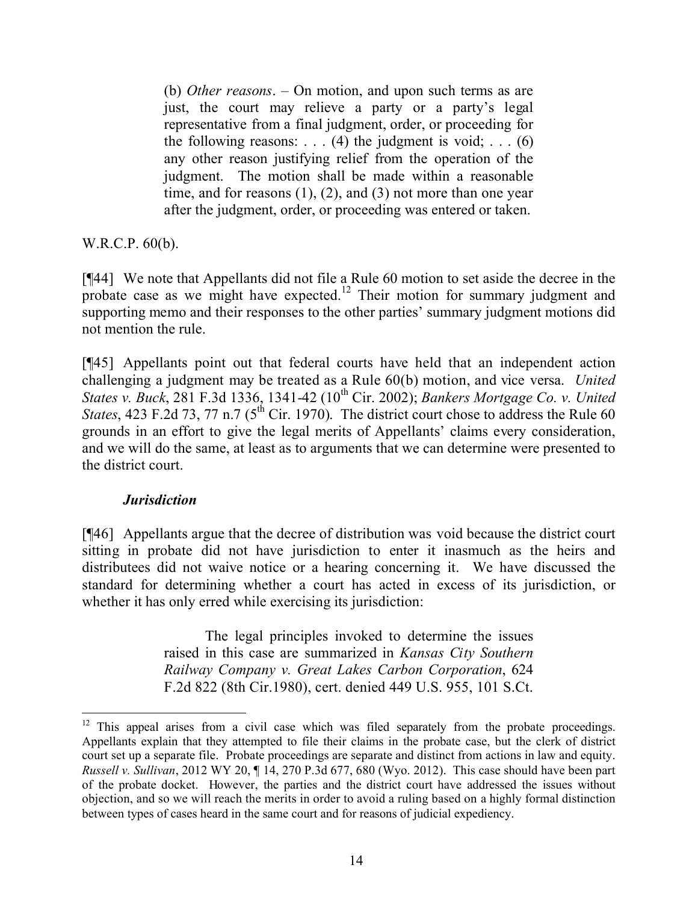(b) *Other reasons*. – On motion, and upon such terms as are just, the court may relieve a party or a party's legal representative from a final judgment, order, or proceeding for the following reasons: . . . (4) the judgment is void; . . . (6) any other reason justifying relief from the operation of the judgment. The motion shall be made within a reasonable time, and for reasons (1), (2), and (3) not more than one year after the judgment, order, or proceeding was entered or taken.

W.R.C.P. 60(b).

[¶44] We note that Appellants did not file a Rule 60 motion to set aside the decree in the probate case as we might have expected.<sup>12</sup> Their motion for summary judgment and supporting memo and their responses to the other parties' summary judgment motions did not mention the rule.

[¶45] Appellants point out that federal courts have held that an independent action challenging a judgment may be treated as a Rule 60(b) motion, and vice versa. *United States v. Buck*, 281 F.3d 1336, 1341-42 (10<sup>th</sup> Cir. 2002); *Bankers Mortgage Co. v. United States*, 423 F.2d 73, 77 n.7 ( $5<sup>th</sup>$  Cir. 1970). The district court chose to address the Rule 60 grounds in an effort to give the legal merits of Appellants' claims every consideration, and we will do the same, at least as to arguments that we can determine were presented to the district court.

#### *Jurisdiction*

 $\overline{a}$ 

[¶46] Appellants argue that the decree of distribution was void because the district court sitting in probate did not have jurisdiction to enter it inasmuch as the heirs and distributees did not waive notice or a hearing concerning it. We have discussed the standard for determining whether a court has acted in excess of its jurisdiction, or whether it has only erred while exercising its jurisdiction:

> The legal principles invoked to determine the issues raised in this case are summarized in *Kansas City Southern Railway Company v. Great Lakes Carbon Corporation*, 624 F.2d 822 (8th Cir.1980), cert. denied 449 U.S. 955, 101 S.Ct.

 $12$  This appeal arises from a civil case which was filed separately from the probate proceedings. Appellants explain that they attempted to file their claims in the probate case, but the clerk of district court set up a separate file. Probate proceedings are separate and distinct from actions in law and equity. *Russell v. Sullivan*, 2012 WY 20, ¶ 14, 270 P.3d 677, 680 (Wyo. 2012). This case should have been part of the probate docket. However, the parties and the district court have addressed the issues without objection, and so we will reach the merits in order to avoid a ruling based on a highly formal distinction between types of cases heard in the same court and for reasons of judicial expediency.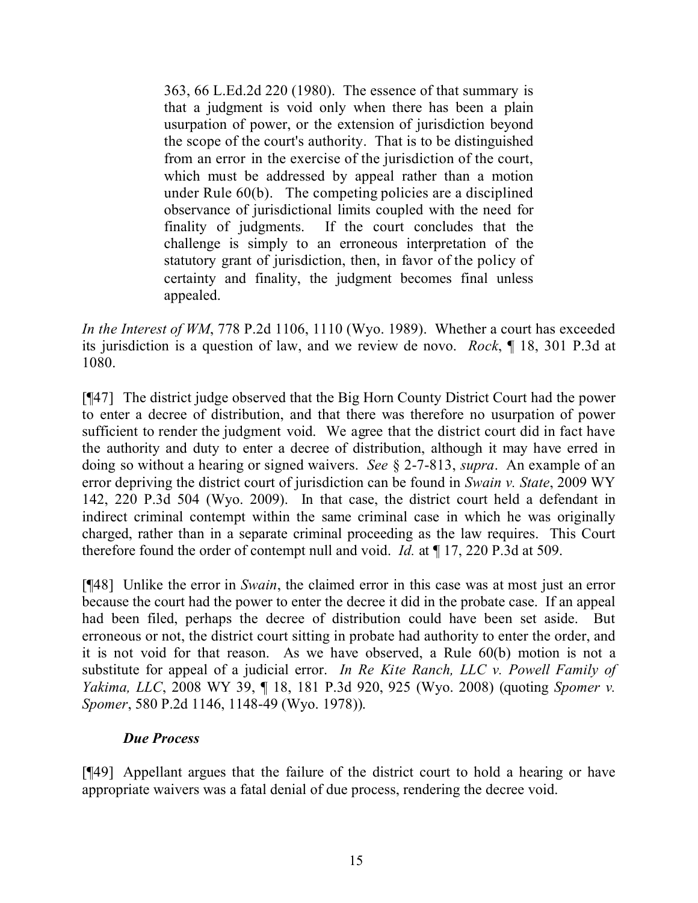363, 66 L.Ed.2d 220 (1980). The essence of that summary is that a judgment is void only when there has been a plain usurpation of power, or the extension of jurisdiction beyond the scope of the court's authority. That is to be distinguished from an error in the exercise of the jurisdiction of the court, which must be addressed by appeal rather than a motion under Rule 60(b). The competing policies are a disciplined observance of jurisdictional limits coupled with the need for finality of judgments. If the court concludes that the challenge is simply to an erroneous interpretation of the statutory grant of jurisdiction, then, in favor of the policy of certainty and finality, the judgment becomes final unless appealed.

*In the Interest of WM*, 778 P.2d 1106, 1110 (Wyo. 1989). Whether a court has exceeded its jurisdiction is a question of law, and we review de novo. *Rock*, ¶ 18, 301 P.3d at 1080.

[¶47] The district judge observed that the Big Horn County District Court had the power to enter a decree of distribution, and that there was therefore no usurpation of power sufficient to render the judgment void. We agree that the district court did in fact have the authority and duty to enter a decree of distribution, although it may have erred in doing so without a hearing or signed waivers. *See* § 2-7-813, *supra*. An example of an error depriving the district court of jurisdiction can be found in *Swain v. State*, 2009 WY 142, 220 P.3d 504 (Wyo. 2009). In that case, the district court held a defendant in indirect criminal contempt within the same criminal case in which he was originally charged, rather than in a separate criminal proceeding as the law requires. This Court therefore found the order of contempt null and void. *Id.* at ¶ 17, 220 P.3d at 509.

[¶48] Unlike the error in *Swain*, the claimed error in this case was at most just an error because the court had the power to enter the decree it did in the probate case. If an appeal had been filed, perhaps the decree of distribution could have been set aside. But erroneous or not, the district court sitting in probate had authority to enter the order, and it is not void for that reason. As we have observed, a Rule 60(b) motion is not a substitute for appeal of a judicial error. *In Re Kite Ranch, LLC v. Powell Family of Yakima, LLC*, 2008 WY 39, ¶ 18, 181 P.3d 920, 925 (Wyo. 2008) (quoting *Spomer v. Spomer*, 580 P.2d 1146, 1148-49 (Wyo. 1978)).

#### *Due Process*

[¶49] Appellant argues that the failure of the district court to hold a hearing or have appropriate waivers was a fatal denial of due process, rendering the decree void.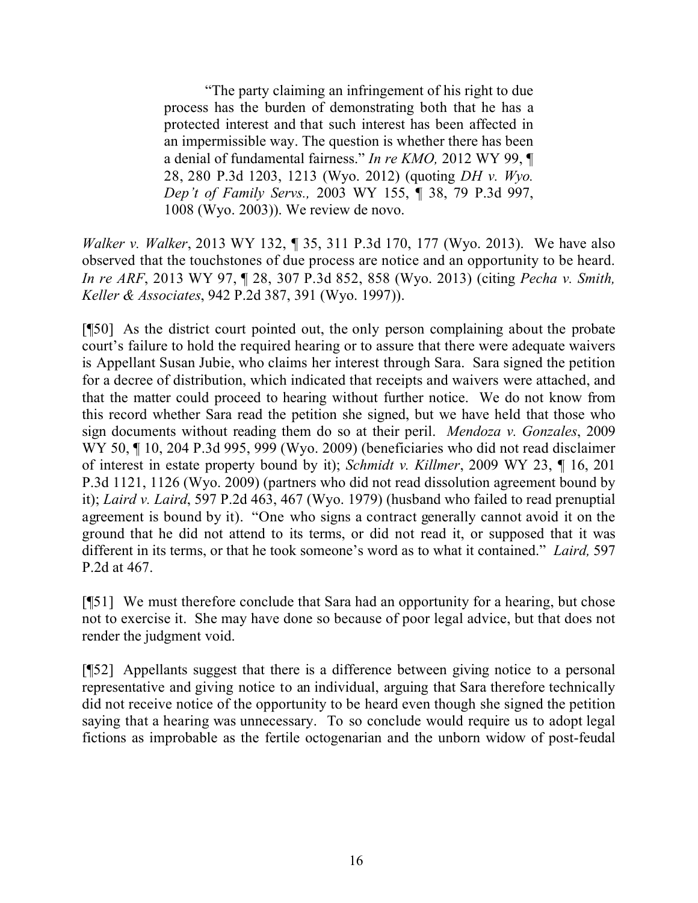"The party claiming an infringement of his right to due process has the burden of demonstrating both that he has a protected interest and that such interest has been affected in an impermissible way. The question is whether there has been a denial of fundamental fairness." *In re KMO,* 2012 WY 99, ¶ 28, 280 P.3d 1203, 1213 (Wyo. 2012) (quoting *DH v. Wyo. Dep't of Family Servs.,* 2003 WY 155, ¶ 38, 79 P.3d 997, 1008 (Wyo. 2003)). We review de novo.

*Walker v. Walker*, 2013 WY 132, ¶ 35, 311 P.3d 170, 177 (Wyo. 2013). We have also observed that the touchstones of due process are notice and an opportunity to be heard. *In re ARF*, 2013 WY 97, ¶ 28, 307 P.3d 852, 858 (Wyo. 2013) (citing *Pecha v. Smith, Keller & Associates*, 942 P.2d 387, 391 (Wyo. 1997)).

[¶50] As the district court pointed out, the only person complaining about the probate court's failure to hold the required hearing or to assure that there were adequate waivers is Appellant Susan Jubie, who claims her interest through Sara. Sara signed the petition for a decree of distribution, which indicated that receipts and waivers were attached, and that the matter could proceed to hearing without further notice. We do not know from this record whether Sara read the petition she signed, but we have held that those who sign documents without reading them do so at their peril. *Mendoza v. Gonzales*, 2009 WY 50, ¶ 10, 204 P.3d 995, 999 (Wyo. 2009) (beneficiaries who did not read disclaimer of interest in estate property bound by it); *Schmidt v. Killmer*, 2009 WY 23, ¶ 16, 201 P.3d 1121, 1126 (Wyo. 2009) (partners who did not read dissolution agreement bound by it); *Laird v. Laird*, 597 P.2d 463, 467 (Wyo. 1979) (husband who failed to read prenuptial agreement is bound by it). "One who signs a contract generally cannot avoid it on the ground that he did not attend to its terms, or did not read it, or supposed that it was different in its terms, or that he took someone's word as to what it contained." *Laird,* 597 P.2d at 467.

[¶51] We must therefore conclude that Sara had an opportunity for a hearing, but chose not to exercise it. She may have done so because of poor legal advice, but that does not render the judgment void.

[¶52] Appellants suggest that there is a difference between giving notice to a personal representative and giving notice to an individual, arguing that Sara therefore technically did not receive notice of the opportunity to be heard even though she signed the petition saying that a hearing was unnecessary. To so conclude would require us to adopt legal fictions as improbable as the fertile octogenarian and the unborn widow of post-feudal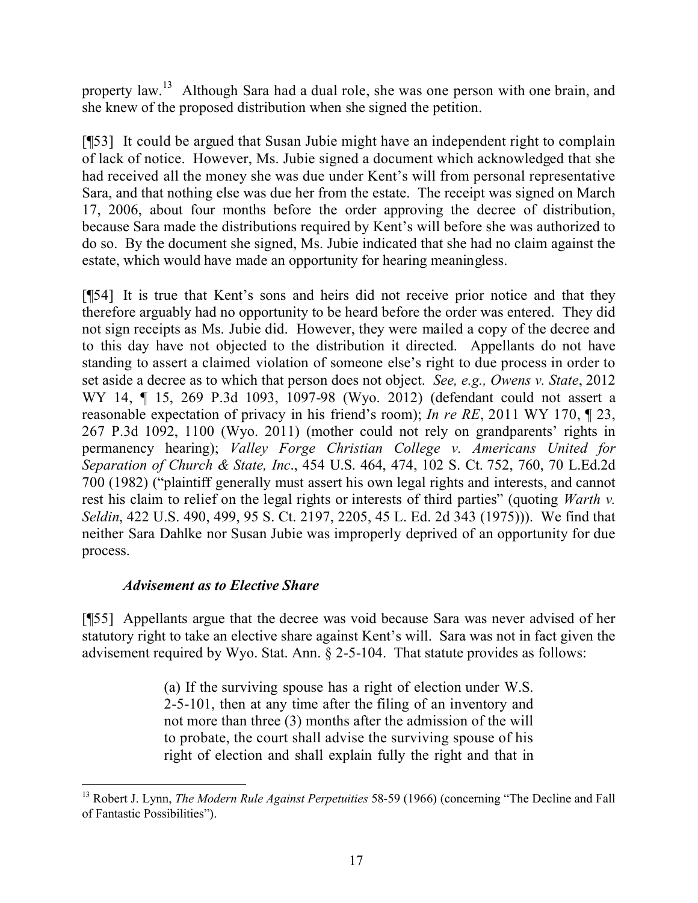property law.<sup>13</sup> Although Sara had a dual role, she was one person with one brain, and she knew of the proposed distribution when she signed the petition.

[¶53] It could be argued that Susan Jubie might have an independent right to complain of lack of notice. However, Ms. Jubie signed a document which acknowledged that she had received all the money she was due under Kent's will from personal representative Sara, and that nothing else was due her from the estate. The receipt was signed on March 17, 2006, about four months before the order approving the decree of distribution, because Sara made the distributions required by Kent's will before she was authorized to do so. By the document she signed, Ms. Jubie indicated that she had no claim against the estate, which would have made an opportunity for hearing meaningless.

[¶54] It is true that Kent's sons and heirs did not receive prior notice and that they therefore arguably had no opportunity to be heard before the order was entered. They did not sign receipts as Ms. Jubie did. However, they were mailed a copy of the decree and to this day have not objected to the distribution it directed. Appellants do not have standing to assert a claimed violation of someone else's right to due process in order to set aside a decree as to which that person does not object. *See, e.g., Owens v. State*, 2012 WY 14, ¶ 15, 269 P.3d 1093, 1097-98 (Wyo. 2012) (defendant could not assert a reasonable expectation of privacy in his friend's room); *In re RE*, 2011 WY 170, ¶ 23, 267 P.3d 1092, 1100 (Wyo. 2011) (mother could not rely on grandparents' rights in permanency hearing); *Valley Forge Christian College v. Americans United for Separation of Church & State, Inc*., 454 U.S. 464, 474, 102 S. Ct. 752, 760, 70 L.Ed.2d 700 (1982) ("plaintiff generally must assert his own legal rights and interests, and cannot rest his claim to relief on the legal rights or interests of third parties" (quoting *Warth v. Seldin*, 422 U.S. 490, 499, 95 S. Ct. 2197, 2205, 45 L. Ed. 2d 343 (1975))). We find that neither Sara Dahlke nor Susan Jubie was improperly deprived of an opportunity for due process.

# *Advisement as to Elective Share*

[¶55] Appellants argue that the decree was void because Sara was never advised of her statutory right to take an elective share against Kent's will. Sara was not in fact given the advisement required by Wyo. Stat. Ann. § 2-5-104. That statute provides as follows:

> (a) If the surviving spouse has a right of election under W.S. 2-5-101, then at any time after the filing of an inventory and not more than three (3) months after the admission of the will to probate, the court shall advise the surviving spouse of his right of election and shall explain fully the right and that in

 <sup>13</sup> Robert J. Lynn, *The Modern Rule Against Perpetuities* 58-59 (1966) (concerning "The Decline and Fall of Fantastic Possibilities").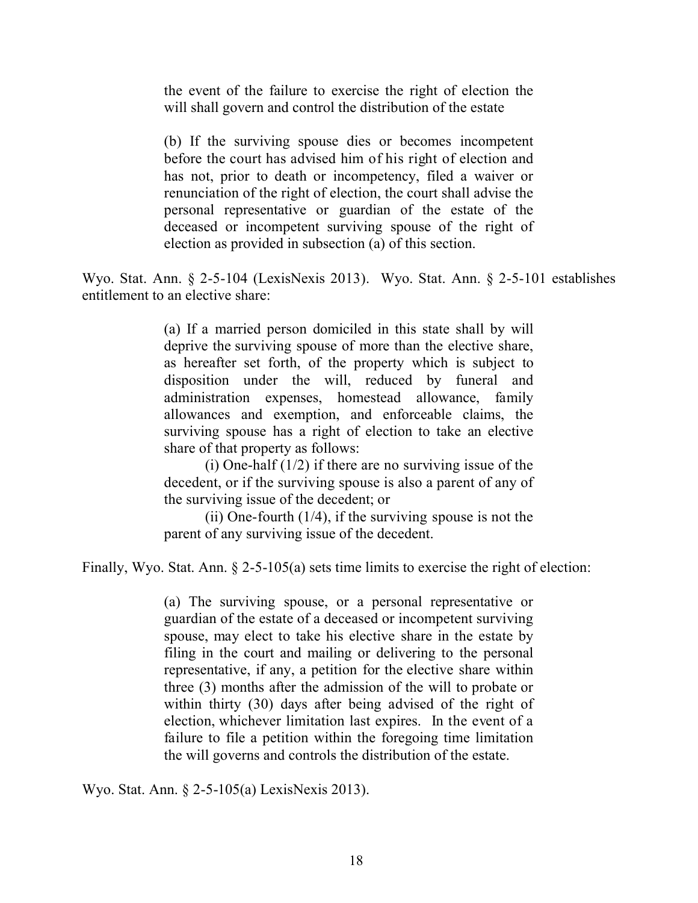the event of the failure to exercise the right of election the will shall govern and control the distribution of the estate

(b) If the surviving spouse dies or becomes incompetent before the court has advised him of his right of election and has not, prior to death or incompetency, filed a waiver or renunciation of the right of election, the court shall advise the personal representative or guardian of the estate of the deceased or incompetent surviving spouse of the right of election as provided in subsection (a) of this section.

Wyo. Stat. Ann. § 2-5-104 (LexisNexis 2013). Wyo. Stat. Ann. § 2-5-101 establishes entitlement to an elective share:

> (a) If a married person domiciled in this state shall by will deprive the surviving spouse of more than the elective share, as hereafter set forth, of the property which is subject to disposition under the will, reduced by funeral and administration expenses, homestead allowance, family allowances and exemption, and enforceable claims, the surviving spouse has a right of election to take an elective share of that property as follows:

> (i) One-half  $(1/2)$  if there are no surviving issue of the decedent, or if the surviving spouse is also a parent of any of the surviving issue of the decedent; or

> (ii) One-fourth  $(1/4)$ , if the surviving spouse is not the parent of any surviving issue of the decedent.

Finally, Wyo. Stat. Ann. § 2-5-105(a) sets time limits to exercise the right of election:

(a) The surviving spouse, or a personal representative or guardian of the estate of a deceased or incompetent surviving spouse, may elect to take his elective share in the estate by filing in the court and mailing or delivering to the personal representative, if any, a petition for the elective share within three (3) months after the admission of the will to probate or within thirty (30) days after being advised of the right of election, whichever limitation last expires. In the event of a failure to file a petition within the foregoing time limitation the will governs and controls the distribution of the estate.

Wyo. Stat. Ann. § 2-5-105(a) LexisNexis 2013).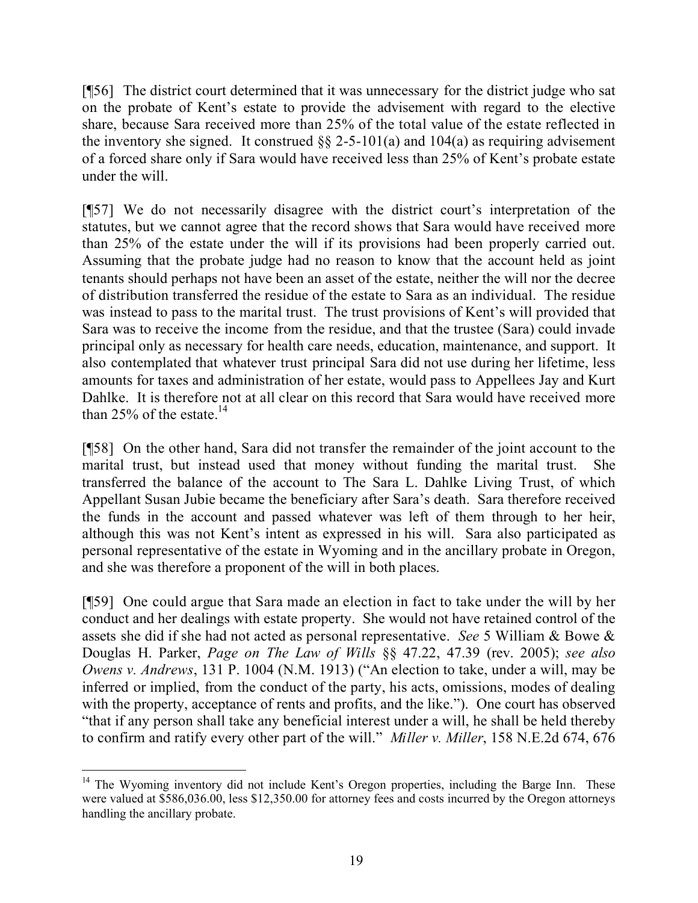[¶56] The district court determined that it was unnecessary for the district judge who sat on the probate of Kent's estate to provide the advisement with regard to the elective share, because Sara received more than 25% of the total value of the estate reflected in the inventory she signed. It construed  $\S$  2-5-101(a) and 104(a) as requiring advisement of a forced share only if Sara would have received less than 25% of Kent's probate estate under the will.

[¶57] We do not necessarily disagree with the district court's interpretation of the statutes, but we cannot agree that the record shows that Sara would have received more than 25% of the estate under the will if its provisions had been properly carried out. Assuming that the probate judge had no reason to know that the account held as joint tenants should perhaps not have been an asset of the estate, neither the will nor the decree of distribution transferred the residue of the estate to Sara as an individual. The residue was instead to pass to the marital trust. The trust provisions of Kent's will provided that Sara was to receive the income from the residue, and that the trustee (Sara) could invade principal only as necessary for health care needs, education, maintenance, and support. It also contemplated that whatever trust principal Sara did not use during her lifetime, less amounts for taxes and administration of her estate, would pass to Appellees Jay and Kurt Dahlke. It is therefore not at all clear on this record that Sara would have received more than 25% of the estate.<sup>14</sup>

[¶58] On the other hand, Sara did not transfer the remainder of the joint account to the marital trust, but instead used that money without funding the marital trust. She transferred the balance of the account to The Sara L. Dahlke Living Trust, of which Appellant Susan Jubie became the beneficiary after Sara's death. Sara therefore received the funds in the account and passed whatever was left of them through to her heir, although this was not Kent's intent as expressed in his will. Sara also participated as personal representative of the estate in Wyoming and in the ancillary probate in Oregon, and she was therefore a proponent of the will in both places.

[¶59] One could argue that Sara made an election in fact to take under the will by her conduct and her dealings with estate property. She would not have retained control of the assets she did if she had not acted as personal representative. *See* 5 William & Bowe & Douglas H. Parker, *Page on The Law of Wills* §§ 47.22, 47.39 (rev. 2005); *see also Owens v. Andrews*, 131 P. 1004 (N.M. 1913) ("An election to take, under a will, may be inferred or implied, from the conduct of the party, his acts, omissions, modes of dealing with the property, acceptance of rents and profits, and the like."). One court has observed "that if any person shall take any beneficial interest under a will, he shall be held thereby to confirm and ratify every other part of the will." *Miller v. Miller*, 158 N.E.2d 674, 676

 <sup>14</sup> The Wyoming inventory did not include Kent's Oregon properties, including the Barge Inn. These were valued at \$586,036.00, less \$12,350.00 for attorney fees and costs incurred by the Oregon attorneys handling the ancillary probate.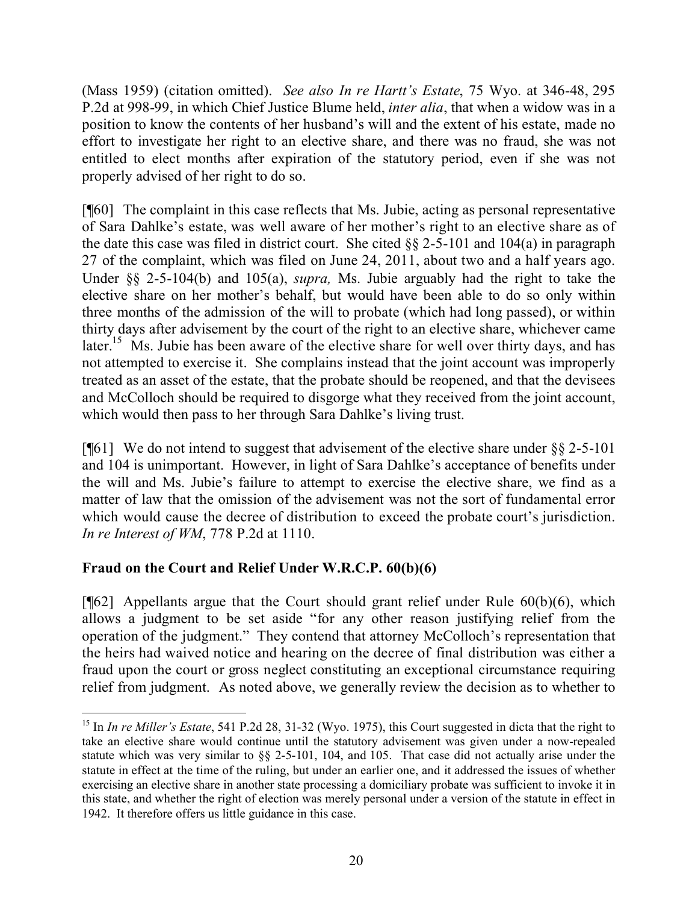(Mass 1959) (citation omitted). *See also In re Hartt's Estate*, 75 Wyo. at 346-48, 295 P.2d at 998-99, in which Chief Justice Blume held, *inter alia*, that when a widow was in a position to know the contents of her husband's will and the extent of his estate, made no effort to investigate her right to an elective share, and there was no fraud, she was not entitled to elect months after expiration of the statutory period, even if she was not properly advised of her right to do so.

[¶60] The complaint in this case reflects that Ms. Jubie, acting as personal representative of Sara Dahlke's estate, was well aware of her mother's right to an elective share as of the date this case was filed in district court. She cited  $\S\S 2$ -5-101 and 104(a) in paragraph 27 of the complaint, which was filed on June 24, 2011, about two and a half years ago. Under §§ 2-5-104(b) and 105(a), *supra,* Ms. Jubie arguably had the right to take the elective share on her mother's behalf, but would have been able to do so only within three months of the admission of the will to probate (which had long passed), or within thirty days after advisement by the court of the right to an elective share, whichever came later.<sup>15</sup> Ms. Jubie has been aware of the elective share for well over thirty days, and has not attempted to exercise it. She complains instead that the joint account was improperly treated as an asset of the estate, that the probate should be reopened, and that the devisees and McColloch should be required to disgorge what they received from the joint account, which would then pass to her through Sara Dahlke's living trust.

[ $\llbracket 61 \rrbracket$  We do not intend to suggest that advisement of the elective share under §§ 2-5-101 and 104 is unimportant. However, in light of Sara Dahlke's acceptance of benefits under the will and Ms. Jubie's failure to attempt to exercise the elective share, we find as a matter of law that the omission of the advisement was not the sort of fundamental error which would cause the decree of distribution to exceed the probate court's jurisdiction. *In re Interest of WM*, 778 P.2d at 1110.

# **Fraud on the Court and Relief Under W.R.C.P. 60(b)(6)**

 $\overline{a}$ 

 $[$ [[62] Appellants argue that the Court should grant relief under Rule 60(b)(6), which allows a judgment to be set aside "for any other reason justifying relief from the operation of the judgment." They contend that attorney McColloch's representation that the heirs had waived notice and hearing on the decree of final distribution was either a fraud upon the court or gross neglect constituting an exceptional circumstance requiring relief from judgment. As noted above, we generally review the decision as to whether to

<sup>&</sup>lt;sup>15</sup> In *In re Miller's Estate*, 541 P.2d 28, 31-32 (Wyo. 1975), this Court suggested in dicta that the right to take an elective share would continue until the statutory advisement was given under a now-repealed statute which was very similar to §§ 2-5-101, 104, and 105. That case did not actually arise under the statute in effect at the time of the ruling, but under an earlier one, and it addressed the issues of whether exercising an elective share in another state processing a domiciliary probate was sufficient to invoke it in this state, and whether the right of election was merely personal under a version of the statute in effect in 1942. It therefore offers us little guidance in this case.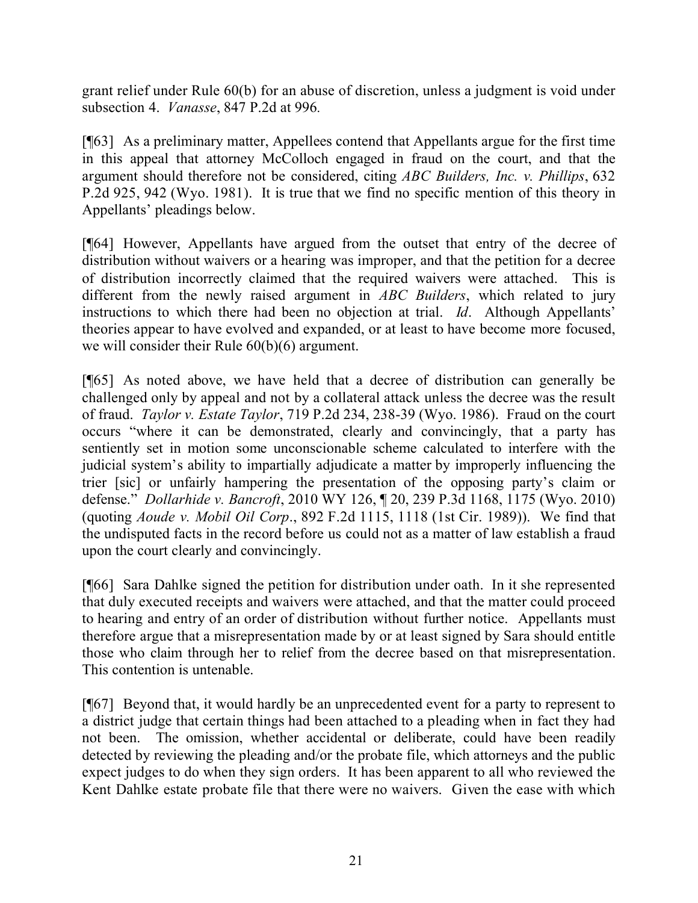grant relief under Rule 60(b) for an abuse of discretion, unless a judgment is void under subsection 4. *Vanasse*, 847 P.2d at 996*.*

[¶63] As a preliminary matter, Appellees contend that Appellants argue for the first time in this appeal that attorney McColloch engaged in fraud on the court, and that the argument should therefore not be considered, citing *ABC Builders, Inc. v. Phillips*, 632 P.2d 925, 942 (Wyo. 1981). It is true that we find no specific mention of this theory in Appellants' pleadings below.

[¶64] However, Appellants have argued from the outset that entry of the decree of distribution without waivers or a hearing was improper, and that the petition for a decree of distribution incorrectly claimed that the required waivers were attached. This is different from the newly raised argument in *ABC Builders*, which related to jury instructions to which there had been no objection at trial. *Id*. Although Appellants' theories appear to have evolved and expanded, or at least to have become more focused, we will consider their Rule 60(b)(6) argument.

[¶65] As noted above, we have held that a decree of distribution can generally be challenged only by appeal and not by a collateral attack unless the decree was the result of fraud. *Taylor v. Estate Taylor*, 719 P.2d 234, 238-39 (Wyo. 1986). Fraud on the court occurs "where it can be demonstrated, clearly and convincingly, that a party has sentiently set in motion some unconscionable scheme calculated to interfere with the judicial system's ability to impartially adjudicate a matter by improperly influencing the trier [sic] or unfairly hampering the presentation of the opposing party's claim or defense." *Dollarhide v. Bancroft*, 2010 WY 126, ¶ 20, 239 P.3d 1168, 1175 (Wyo. 2010) (quoting *Aoude v. Mobil Oil Corp*., 892 F.2d 1115, 1118 (1st Cir. 1989)). We find that the undisputed facts in the record before us could not as a matter of law establish a fraud upon the court clearly and convincingly.

[¶66] Sara Dahlke signed the petition for distribution under oath. In it she represented that duly executed receipts and waivers were attached, and that the matter could proceed to hearing and entry of an order of distribution without further notice. Appellants must therefore argue that a misrepresentation made by or at least signed by Sara should entitle those who claim through her to relief from the decree based on that misrepresentation. This contention is untenable.

[¶67] Beyond that, it would hardly be an unprecedented event for a party to represent to a district judge that certain things had been attached to a pleading when in fact they had not been. The omission, whether accidental or deliberate, could have been readily detected by reviewing the pleading and/or the probate file, which attorneys and the public expect judges to do when they sign orders. It has been apparent to all who reviewed the Kent Dahlke estate probate file that there were no waivers. Given the ease with which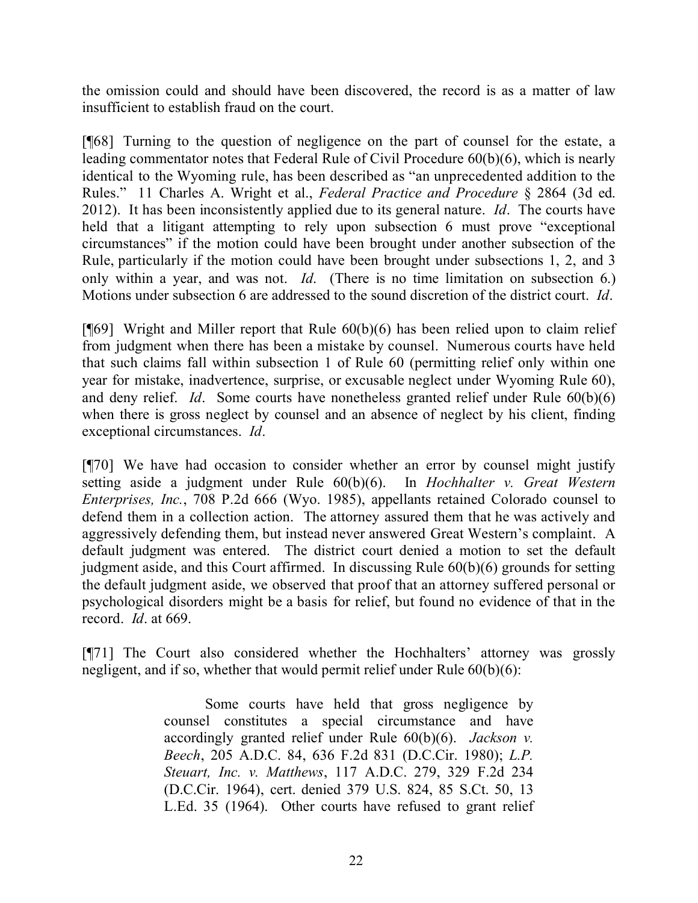the omission could and should have been discovered, the record is as a matter of law insufficient to establish fraud on the court.

[¶68] Turning to the question of negligence on the part of counsel for the estate, a leading commentator notes that Federal Rule of Civil Procedure 60(b)(6), which is nearly identical to the Wyoming rule, has been described as "an unprecedented addition to the Rules." 11 Charles A. Wright et al., *Federal Practice and Procedure* § 2864 (3d ed. 2012). It has been inconsistently applied due to its general nature. *Id*. The courts have held that a litigant attempting to rely upon subsection 6 must prove "exceptional" circumstances" if the motion could have been brought under another subsection of the Rule, particularly if the motion could have been brought under subsections 1, 2, and 3 only within a year, and was not. *Id*. (There is no time limitation on subsection 6.) Motions under subsection 6 are addressed to the sound discretion of the district court. *Id*.

[¶69] Wright and Miller report that Rule 60(b)(6) has been relied upon to claim relief from judgment when there has been a mistake by counsel. Numerous courts have held that such claims fall within subsection 1 of Rule 60 (permitting relief only within one year for mistake, inadvertence, surprise, or excusable neglect under Wyoming Rule 60), and deny relief. *Id*. Some courts have nonetheless granted relief under Rule 60(b)(6) when there is gross neglect by counsel and an absence of neglect by his client, finding exceptional circumstances. *Id*.

[¶70] We have had occasion to consider whether an error by counsel might justify setting aside a judgment under Rule 60(b)(6). In *Hochhalter v. Great Western Enterprises, Inc.*, 708 P.2d 666 (Wyo. 1985), appellants retained Colorado counsel to defend them in a collection action. The attorney assured them that he was actively and aggressively defending them, but instead never answered Great Western's complaint. A default judgment was entered. The district court denied a motion to set the default judgment aside, and this Court affirmed. In discussing Rule 60(b)(6) grounds for setting the default judgment aside, we observed that proof that an attorney suffered personal or psychological disorders might be a basis for relief, but found no evidence of that in the record. *Id*. at 669.

[¶71] The Court also considered whether the Hochhalters' attorney was grossly negligent, and if so, whether that would permit relief under Rule 60(b)(6):

> Some courts have held that gross negligence by counsel constitutes a special circumstance and have accordingly granted relief under Rule 60(b)(6). *Jackson v. Beech*, 205 A.D.C. 84, 636 F.2d 831 (D.C.Cir. 1980); *L.P. Steuart, Inc. v. Matthews*, 117 A.D.C. 279, 329 F.2d 234 (D.C.Cir. 1964), cert. denied 379 U.S. 824, 85 S.Ct. 50, 13 L.Ed. 35 (1964). Other courts have refused to grant relief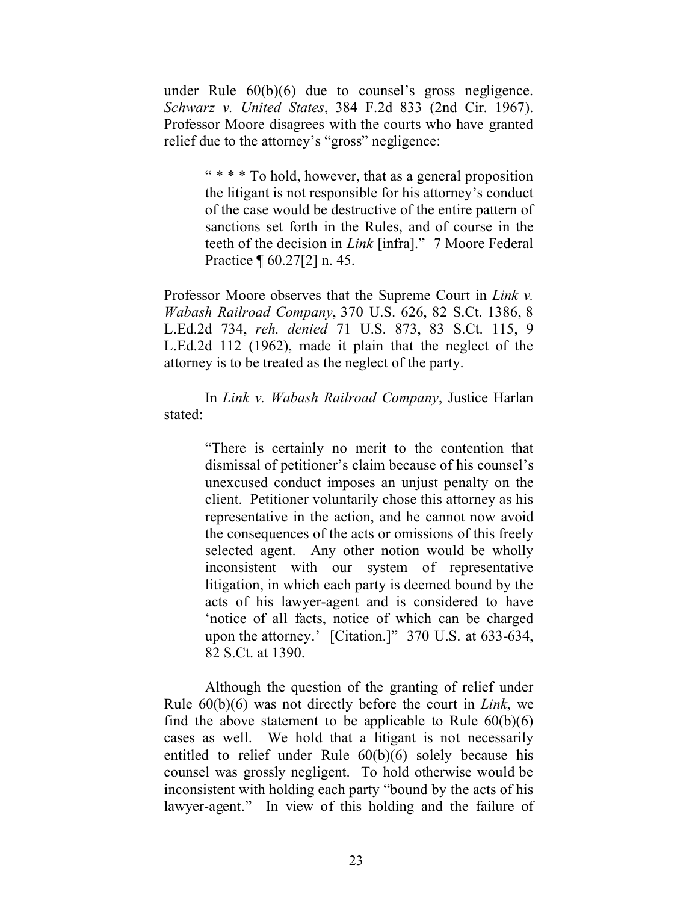under Rule 60(b)(6) due to counsel's gross negligence. *Schwarz v. United States*, 384 F.2d 833 (2nd Cir. 1967). Professor Moore disagrees with the courts who have granted relief due to the attorney's "gross" negligence:

> " \* \* \* To hold, however, that as a general proposition the litigant is not responsible for his attorney's conduct of the case would be destructive of the entire pattern of sanctions set forth in the Rules, and of course in the teeth of the decision in *Link* [infra]." 7 Moore Federal Practice ¶ 60.27[2] n. 45.

Professor Moore observes that the Supreme Court in *Link v. Wabash Railroad Company*, 370 U.S. 626, 82 S.Ct. 1386, 8 L.Ed.2d 734, *reh. denied* 71 U.S. 873, 83 S.Ct. 115, 9 L.Ed.2d 112 (1962), made it plain that the neglect of the attorney is to be treated as the neglect of the party.

In *Link v. Wabash Railroad Company*, Justice Harlan stated:

> "There is certainly no merit to the contention that dismissal of petitioner's claim because of his counsel's unexcused conduct imposes an unjust penalty on the client. Petitioner voluntarily chose this attorney as his representative in the action, and he cannot now avoid the consequences of the acts or omissions of this freely selected agent. Any other notion would be wholly inconsistent with our system of representative litigation, in which each party is deemed bound by the acts of his lawyer-agent and is considered to have 'notice of all facts, notice of which can be charged upon the attorney.' [Citation.]" 370 U.S. at 633-634, 82 S.Ct. at 1390.

Although the question of the granting of relief under Rule 60(b)(6) was not directly before the court in *Link*, we find the above statement to be applicable to Rule  $60(b)(6)$ cases as well. We hold that a litigant is not necessarily entitled to relief under Rule 60(b)(6) solely because his counsel was grossly negligent. To hold otherwise would be inconsistent with holding each party "bound by the acts of his lawyer-agent." In view of this holding and the failure of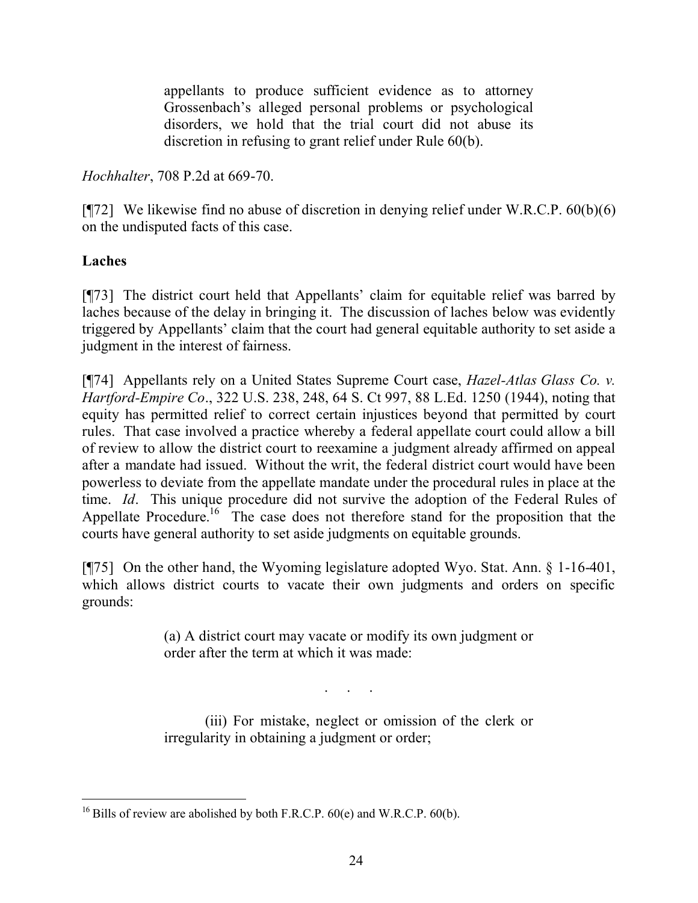appellants to produce sufficient evidence as to attorney Grossenbach's alleged personal problems or psychological disorders, we hold that the trial court did not abuse its discretion in refusing to grant relief under Rule 60(b).

*Hochhalter*, 708 P.2d at 669-70.

[ $[$ ]] We likewise find no abuse of discretion in denying relief under W.R.C.P.  $60(b)(6)$ on the undisputed facts of this case.

## **Laches**

[¶73] The district court held that Appellants' claim for equitable relief was barred by laches because of the delay in bringing it. The discussion of laches below was evidently triggered by Appellants' claim that the court had general equitable authority to set aside a judgment in the interest of fairness.

[¶74] Appellants rely on a United States Supreme Court case, *Hazel-Atlas Glass Co. v. Hartford-Empire Co*., 322 U.S. 238, 248, 64 S. Ct 997, 88 L.Ed. 1250 (1944), noting that equity has permitted relief to correct certain injustices beyond that permitted by court rules. That case involved a practice whereby a federal appellate court could allow a bill of review to allow the district court to reexamine a judgment already affirmed on appeal after a mandate had issued. Without the writ, the federal district court would have been powerless to deviate from the appellate mandate under the procedural rules in place at the time. *Id*. This unique procedure did not survive the adoption of the Federal Rules of Appellate Procedure.<sup>16</sup> The case does not therefore stand for the proposition that the courts have general authority to set aside judgments on equitable grounds.

[¶75] On the other hand, the Wyoming legislature adopted Wyo. Stat. Ann. § 1-16-401, which allows district courts to vacate their own judgments and orders on specific grounds:

> (a) A district court may vacate or modify its own judgment or order after the term at which it was made:

> > . . .

(iii) For mistake, neglect or omission of the clerk or irregularity in obtaining a judgment or order;

 $\overline{a}$ <sup>16</sup> Bills of review are abolished by both F.R.C.P.  $60(e)$  and W.R.C.P.  $60(b)$ .